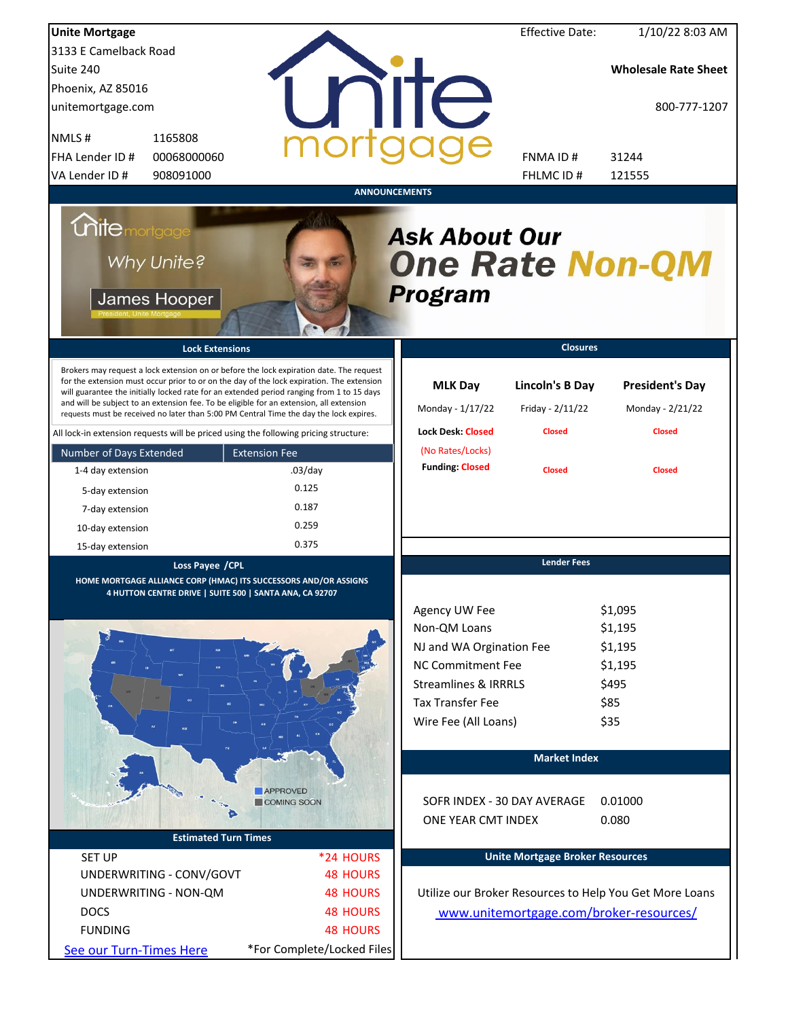| <b>Unite Mortgage</b>                                                                                                                                                                                                                                                                                                                                                                                                                                                                                                                                          |                            |                                                                | <b>Effective Date:</b>                               | 1/10/22 8:03 AM                                             |
|----------------------------------------------------------------------------------------------------------------------------------------------------------------------------------------------------------------------------------------------------------------------------------------------------------------------------------------------------------------------------------------------------------------------------------------------------------------------------------------------------------------------------------------------------------------|----------------------------|----------------------------------------------------------------|------------------------------------------------------|-------------------------------------------------------------|
| 3133 E Camelback Road                                                                                                                                                                                                                                                                                                                                                                                                                                                                                                                                          |                            |                                                                |                                                      |                                                             |
| Suite 240                                                                                                                                                                                                                                                                                                                                                                                                                                                                                                                                                      |                            |                                                                |                                                      | <b>Wholesale Rate Sheet</b>                                 |
| Phoenix, AZ 85016                                                                                                                                                                                                                                                                                                                                                                                                                                                                                                                                              |                            |                                                                |                                                      |                                                             |
| unitemortgage.com                                                                                                                                                                                                                                                                                                                                                                                                                                                                                                                                              |                            | <b>ITE</b>                                                     |                                                      | 800-777-1207                                                |
| NMLS#<br>1165808                                                                                                                                                                                                                                                                                                                                                                                                                                                                                                                                               |                            |                                                                |                                                      |                                                             |
| 00068000060<br>FHA Lender ID #                                                                                                                                                                                                                                                                                                                                                                                                                                                                                                                                 |                            |                                                                | FNMA ID#                                             | 31244                                                       |
| VA Lender ID #<br>908091000                                                                                                                                                                                                                                                                                                                                                                                                                                                                                                                                    |                            |                                                                | FHLMC ID#                                            | 121555                                                      |
|                                                                                                                                                                                                                                                                                                                                                                                                                                                                                                                                                                |                            | <b>ANNOUNCEMENTS</b>                                           |                                                      |                                                             |
| <i><b>Chitemortgage</b></i><br>Why Unite?<br>James Hooper                                                                                                                                                                                                                                                                                                                                                                                                                                                                                                      |                            | <b>Ask About Our</b><br><b>One Rate Non-QM</b><br>Program      |                                                      |                                                             |
| <b>Lock Extensions</b>                                                                                                                                                                                                                                                                                                                                                                                                                                                                                                                                         |                            |                                                                | <b>Closures</b>                                      |                                                             |
| Brokers may request a lock extension on or before the lock expiration date. The request<br>for the extension must occur prior to or on the day of the lock expiration. The extension<br>will guarantee the initially locked rate for an extended period ranging from 1 to 15 days<br>and will be subject to an extension fee. To be eligible for an extension, all extension<br>requests must be received no later than 5:00 PM Central Time the day the lock expires.<br>All lock-in extension requests will be priced using the following pricing structure: |                            | <b>MLK Day</b><br>Monday - 1/17/22<br><b>Lock Desk: Closed</b> | Lincoln's B Day<br>Friday - 2/11/22<br><b>Closed</b> | <b>President's Day</b><br>Monday - 2/21/22<br><b>Closed</b> |
| Number of Days Extended                                                                                                                                                                                                                                                                                                                                                                                                                                                                                                                                        | <b>Extension Fee</b>       | (No Rates/Locks)                                               |                                                      |                                                             |
| 1-4 day extension                                                                                                                                                                                                                                                                                                                                                                                                                                                                                                                                              | $.03$ /day                 | <b>Funding: Closed</b>                                         | <b>Closed</b>                                        | <b>Closed</b>                                               |
|                                                                                                                                                                                                                                                                                                                                                                                                                                                                                                                                                                | 0.125                      |                                                                |                                                      |                                                             |
| 5-day extension                                                                                                                                                                                                                                                                                                                                                                                                                                                                                                                                                | 0.187                      |                                                                |                                                      |                                                             |
| 7-day extension                                                                                                                                                                                                                                                                                                                                                                                                                                                                                                                                                | 0.259                      |                                                                |                                                      |                                                             |
| 10-day extension                                                                                                                                                                                                                                                                                                                                                                                                                                                                                                                                               | 0.375                      |                                                                |                                                      |                                                             |
| 15-day extension                                                                                                                                                                                                                                                                                                                                                                                                                                                                                                                                               |                            |                                                                | <b>Lender Fees</b>                                   |                                                             |
| Loss Payee / CPL                                                                                                                                                                                                                                                                                                                                                                                                                                                                                                                                               |                            |                                                                |                                                      |                                                             |
| HOME MORTGAGE ALLIANCE CORP (HMAC) ITS SUCCESSORS AND/OR ASSIGNS<br>4 HUTTON CENTRE DRIVE   SUITE 500   SANTA ANA, CA 92707                                                                                                                                                                                                                                                                                                                                                                                                                                    |                            |                                                                |                                                      |                                                             |
|                                                                                                                                                                                                                                                                                                                                                                                                                                                                                                                                                                |                            | Agency UW Fee                                                  |                                                      | \$1,095                                                     |
|                                                                                                                                                                                                                                                                                                                                                                                                                                                                                                                                                                |                            | Non-QM Loans                                                   |                                                      | \$1,195                                                     |
|                                                                                                                                                                                                                                                                                                                                                                                                                                                                                                                                                                |                            | NJ and WA Orgination Fee                                       |                                                      | \$1,195                                                     |
|                                                                                                                                                                                                                                                                                                                                                                                                                                                                                                                                                                |                            | <b>NC Commitment Fee</b>                                       |                                                      | \$1,195                                                     |
|                                                                                                                                                                                                                                                                                                                                                                                                                                                                                                                                                                |                            | <b>Streamlines &amp; IRRRLS</b>                                |                                                      | \$495                                                       |
|                                                                                                                                                                                                                                                                                                                                                                                                                                                                                                                                                                |                            | <b>Tax Transfer Fee</b>                                        |                                                      | \$85                                                        |
|                                                                                                                                                                                                                                                                                                                                                                                                                                                                                                                                                                |                            | Wire Fee (All Loans)                                           |                                                      | \$35                                                        |
|                                                                                                                                                                                                                                                                                                                                                                                                                                                                                                                                                                |                            |                                                                |                                                      |                                                             |
|                                                                                                                                                                                                                                                                                                                                                                                                                                                                                                                                                                |                            |                                                                | <b>Market Index</b>                                  |                                                             |
|                                                                                                                                                                                                                                                                                                                                                                                                                                                                                                                                                                |                            |                                                                |                                                      |                                                             |
|                                                                                                                                                                                                                                                                                                                                                                                                                                                                                                                                                                | APPROVED                   |                                                                |                                                      |                                                             |
|                                                                                                                                                                                                                                                                                                                                                                                                                                                                                                                                                                | COMING SOON                |                                                                | SOFR INDEX - 30 DAY AVERAGE                          | 0.01000                                                     |
|                                                                                                                                                                                                                                                                                                                                                                                                                                                                                                                                                                |                            | ONE YEAR CMT INDEX                                             |                                                      | 0.080                                                       |
| <b>Estimated Turn Times</b>                                                                                                                                                                                                                                                                                                                                                                                                                                                                                                                                    |                            |                                                                |                                                      |                                                             |
| <b>SET UP</b>                                                                                                                                                                                                                                                                                                                                                                                                                                                                                                                                                  | *24 HOURS                  |                                                                | <b>Unite Mortgage Broker Resources</b>               |                                                             |
| UNDERWRITING - CONV/GOVT                                                                                                                                                                                                                                                                                                                                                                                                                                                                                                                                       | <b>48 HOURS</b>            |                                                                |                                                      |                                                             |
| UNDERWRITING - NON-QM                                                                                                                                                                                                                                                                                                                                                                                                                                                                                                                                          | <b>48 HOURS</b>            |                                                                |                                                      | Utilize our Broker Resources to Help You Get More Loans     |
| <b>DOCS</b>                                                                                                                                                                                                                                                                                                                                                                                                                                                                                                                                                    | <b>48 HOURS</b>            |                                                                |                                                      | www.unitemortgage.com/broker-resources/                     |
| <b>FUNDING</b>                                                                                                                                                                                                                                                                                                                                                                                                                                                                                                                                                 | <b>48 HOURS</b>            |                                                                |                                                      |                                                             |
| See our Turn-Times Here                                                                                                                                                                                                                                                                                                                                                                                                                                                                                                                                        | *For Complete/Locked Files |                                                                |                                                      |                                                             |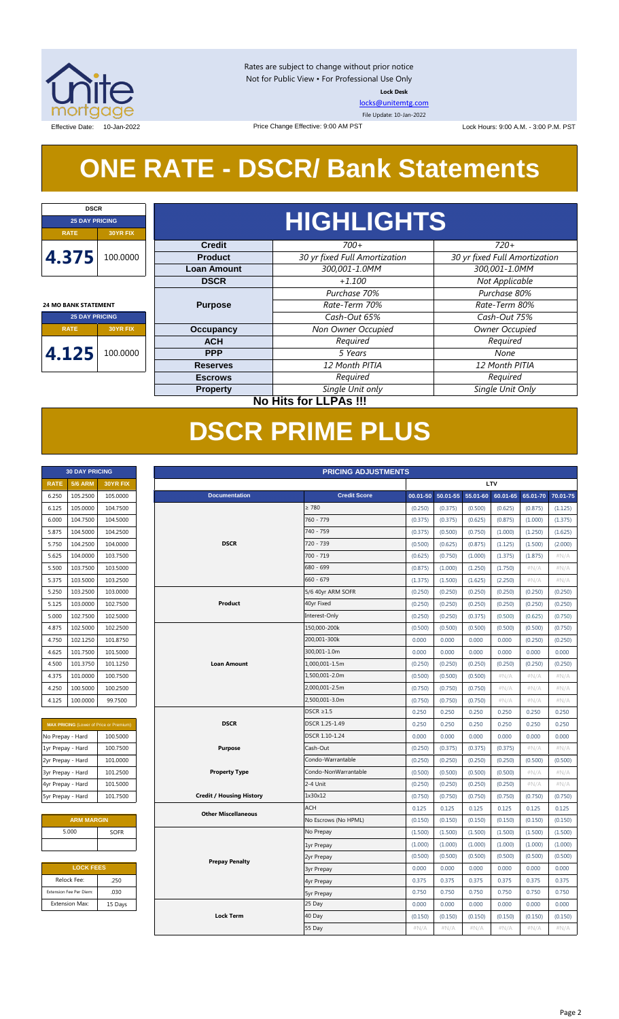

Rates are subject to change without prior notice Not for Public View • For Professional Use Only **Lock Desk**

[locks@unitemtg.com](mailto:locks@unitemtg.com)

File Update: 10-Jan-2022

Effective Date: 10-Jan-2022 **Lock Hours: 9:00 A.M. - 3:00 P.M. PST** Change Effective: 9:00 AM PST Lock Hours: 9:00 A.M. - 3:00 P.M. PST

# **ONE RATE - DSCR/ Bank Statements**

| <b>DSCR</b>                 |                 |  |
|-----------------------------|-----------------|--|
| <b>25 DAY PRICING</b>       |                 |  |
| <b>RATE</b>                 | <b>30YR FIX</b> |  |
| 4.375                       | 100.0000        |  |
|                             |                 |  |
|                             |                 |  |
| <b>24 MO BANK STATEMENT</b> |                 |  |
| <b>25 DAY PRICING</b>       |                 |  |
| <b>RATE</b>                 | <b>30YR FIX</b> |  |
| 4.125                       | 100.0000        |  |

| <b>HIGHLIGHTS</b>  |                               |                               |  |
|--------------------|-------------------------------|-------------------------------|--|
| <b>Credit</b>      | $700+$                        | $720+$                        |  |
| <b>Product</b>     | 30 yr fixed Full Amortization | 30 yr fixed Full Amortization |  |
| <b>Loan Amount</b> | 300,001-1.0MM                 | 300,001-1.0MM                 |  |
| <b>DSCR</b>        | $+1.100$                      | Not Applicable                |  |
|                    | Purchase 70%                  | Purchase 80%                  |  |
| <b>Purpose</b>     | Rate-Term 70%                 | Rate-Term 80%                 |  |
|                    | Cash-Out 65%                  | Cash-Out 75%                  |  |
| <b>Occupancy</b>   | Non Owner Occupied            | <b>Owner Occupied</b>         |  |
| <b>ACH</b>         | Required                      | Required                      |  |
| <b>PPP</b>         | 5 Years                       | None                          |  |
| <b>Reserves</b>    | 12 Month PITIA                | 12 Month PITIA                |  |
| <b>Escrows</b>     | Required                      | Required                      |  |
| <b>Property</b>    | Single Unit only              | Single Unit Only              |  |

**No Hits for LLPAs !!!**

## **DSCR PRIME PLUS**

|                   | <b>30 DAY PRICING</b>   |                                                | <b>PRICING ADJUSTMENTS</b> |                                 |                      |              |          |          |          |          |          |
|-------------------|-------------------------|------------------------------------------------|----------------------------|---------------------------------|----------------------|--------------|----------|----------|----------|----------|----------|
| <b>RATE</b>       | <b>5/6 ARM</b>          | <b>30YR FIX</b>                                |                            | LTV                             |                      |              |          |          |          |          |          |
| 6.250             | 105.2500                | 105.0000                                       |                            | <b>Documentation</b>            | <b>Credit Score</b>  | $00.01 - 50$ | 50.01-55 | 55.01-60 | 60.01-65 | 65.01-70 | 70.01-75 |
| 6.125             | 105.0000                | 104.7500                                       |                            |                                 | $\geq 780$           | (0.250)      | (0.375)  | (0.500)  | (0.625)  | (0.875)  | (1.125)  |
| 6.000             | 104.7500                | 104.5000                                       |                            |                                 | 760 - 779            | (0.375)      | (0.375)  | (0.625)  | (0.875)  | (1.000)  | (1.375)  |
| 5.875             | 104.5000                | 104.2500                                       |                            |                                 | 740 - 759            | (0.375)      | (0.500)  | (0.750)  | (1.000)  | (1.250)  | (1.625)  |
| 5.750             | 104.2500                | 104.0000                                       |                            | <b>DSCR</b>                     | 720 - 739            | (0.500)      | (0.625)  | (0.875)  | (1.125)  | (1.500)  | (2.000)  |
| 5.625             | 104.0000                | 103.7500                                       |                            |                                 | $700 - 719$          | (0.625)      | (0.750)  | (1.000)  | (1.375)  | (1.875)  | #N/A     |
| 5.500             | 103.7500                | 103.5000                                       |                            |                                 | $680 - 699$          | (0.875)      | (1.000)  | (1.250)  | (1.750)  | $\#N/A$  | $\#N/A$  |
| 5.375             | 103.5000                | 103.2500                                       |                            |                                 | $660 - 679$          | (1.375)      | (1.500)  | (1.625)  | (2.250)  | #N/A     | $\#N/A$  |
| 5.250             | 103.2500                | 103.0000                                       |                            |                                 | 5/6 40yr ARM SOFR    | (0.250)      | (0.250)  | (0.250)  | (0.250)  | (0.250)  | (0.250)  |
| 5.125             | 103.0000                | 102.7500                                       |                            | Product                         | 40yr Fixed           | (0.250)      | (0.250)  | (0.250)  | (0.250)  | (0.250)  | (0.250)  |
| 5.000             | 102.7500                | 102.5000                                       |                            |                                 | Interest-Only        | (0.250)      | (0.250)  | (0.375)  | (0.500)  | (0.625)  | (0.750)  |
| 4.875             | 102.5000                | 102.2500                                       |                            |                                 | 150,000-200k         | (0.500)      | (0.500)  | (0.500)  | (0.500)  | (0.500)  | (0.750)  |
| 4.750             | 102.1250                | 101.8750                                       |                            |                                 | 200,001-300k         | 0.000        | 0.000    | 0.000    | 0.000    | (0.250)  | (0.250)  |
| 4.625             | 101.7500                | 101.5000                                       |                            |                                 | 300,001-1.0m         | 0.000        | 0.000    | 0.000    | 0.000    | 0.000    | 0.000    |
| 4.500             | 101.3750                | 101.1250                                       |                            | <b>Loan Amount</b>              | 1,000,001-1.5m       | (0.250)      | (0.250)  | (0.250)  | (0.250)  | (0.250)  | (0.250)  |
| 4.375             | 101.0000                | 100.7500                                       |                            |                                 | 1,500,001-2.0m       | (0.500)      | (0.500)  | (0.500)  | $\#N/A$  | #N/A     | #N/A     |
| 4.250             | 100.5000                | 100.2500                                       |                            |                                 | 2,000,001-2.5m       | (0.750)      | (0.750)  | (0.750)  | #N/A     | #N/A     | #N/A     |
| 4.125             | 100.0000                | 99.7500                                        |                            |                                 | 2,500,001-3.0m       | (0.750)      | (0.750)  | (0.750)  | #N/A     | #N/A     | #N/A     |
|                   |                         |                                                |                            |                                 | $DSCR \geq 1.5$      | 0.250        | 0.250    | 0.250    | 0.250    | 0.250    | 0.250    |
|                   |                         | <b>MAX PRICING</b> (Lower of Price or Premium) |                            | <b>DSCR</b>                     | DSCR 1.25-1.49       | 0.250        | 0.250    | 0.250    | 0.250    | 0.250    | 0.250    |
| No Prepay - Hard  |                         | 100.5000                                       |                            |                                 | DSCR 1.10-1.24       | 0.000        | 0.000    | 0.000    | 0.000    | 0.000    | 0.000    |
| 1yr Prepay - Hard |                         | 100.7500                                       |                            | <b>Purpose</b>                  | Cash-Out             | (0.250)      | (0.375)  | (0.375)  | (0.375)  | #N/A     | $\#N/A$  |
| 2yr Prepay - Hard |                         | 101.0000                                       |                            |                                 | Condo-Warrantable    | (0.250)      | (0.250)  | (0.250)  | (0.250)  | (0.500)  | (0.500)  |
| 3yr Prepay - Hard |                         | 101.2500                                       |                            | <b>Property Type</b>            | Condo-NonWarrantable | (0.500)      | (0.500)  | (0.500)  | (0.500)  | #N/A     | $\#N/A$  |
| 4yr Prepay - Hard |                         | 101.5000                                       |                            |                                 | 2-4 Unit             | (0.250)      | (0.250)  | (0.250)  | (0.250)  | #N/A     | $\#N/A$  |
| 5yr Prepay - Hard |                         | 101.7500                                       |                            | <b>Credit / Housing History</b> | 1x30x12              | (0.750)      | (0.750)  | (0.750)  | (0.750)  | (0.750)  | (0.750)  |
|                   |                         |                                                |                            | <b>Other Miscellaneous</b>      | <b>ACH</b>           | 0.125        | 0.125    | 0.125    | 0.125    | 0.125    | 0.125    |
|                   | <b>ARM MARGIN</b>       |                                                |                            |                                 | No Escrows (No HPML) | (0.150)      | (0.150)  | (0.150)  | (0.150)  | (0.150)  | (0.150)  |
|                   | 5.000                   | <b>SOFR</b>                                    |                            |                                 | No Prepay            | (1.500)      | (1.500)  | (1.500)  | (1.500)  | (1.500)  | (1.500)  |
|                   |                         |                                                |                            |                                 | 1yr Prepay           | (1.000)      | (1.000)  | (1.000)  | (1.000)  | (1.000)  | (1.000)  |
|                   |                         |                                                |                            | <b>Prepay Penalty</b>           | 2yr Prepay           | (0.500)      | (0.500)  | (0.500)  | (0.500)  | (0.500)  | (0.500)  |
|                   | <b>LOCK FEES</b>        |                                                |                            |                                 | <b>3yr Prepay</b>    | 0.000        | 0.000    | 0.000    | 0.000    | 0.000    | 0.000    |
|                   | Relock Fee:             | .250                                           |                            |                                 | 4yr Prepay           | 0.375        | 0.375    | 0.375    | 0.375    | 0.375    | 0.375    |
|                   | Extension Fee Per Diem: | .030                                           |                            |                                 | <b>5yr Prepay</b>    | 0.750        | 0.750    | 0.750    | 0.750    | 0.750    | 0.750    |
|                   | <b>Extension Max:</b>   | 15 Days                                        |                            |                                 | 25 Day               | 0.000        | 0.000    | 0.000    | 0.000    | 0.000    | 0.000    |
|                   |                         |                                                |                            | <b>Lock Term</b>                | 40 Day               | (0.150)      | (0.150)  | (0.150)  | (0.150)  | (0.150)  | (0.150)  |

55 Day

# **RATE 5/6 ARM 30YR FIX 30 DAY PRICING**

| <b>MAX PRICING</b> (Lower of Price or Premium) |          |  |  |  |
|------------------------------------------------|----------|--|--|--|
| No Prepay - Hard<br>100.5000                   |          |  |  |  |
| 1yr Prepay - Hard                              | 100.7500 |  |  |  |
| 2yr Prepay - Hard                              | 101.0000 |  |  |  |
| 3yr Prepay - Hard                              | 101.2500 |  |  |  |
| 4yr Prepay - Hard                              | 101.5000 |  |  |  |
| 5yr Prepay - Hard                              | 101.7500 |  |  |  |

| <b>ARM MARGIN</b> |             |  |  |  |  |
|-------------------|-------------|--|--|--|--|
| 5.000             | <b>SOFR</b> |  |  |  |  |
|                   |             |  |  |  |  |
|                   |             |  |  |  |  |

| <b>LOCK FEES</b>    |  |  |  |
|---------------------|--|--|--|
| Relock Fee:<br>.250 |  |  |  |
| .030                |  |  |  |
| 15 Days             |  |  |  |
|                     |  |  |  |

 $(0.150)$   $(0.150)$ 

#N/A #N/A #N/A #N/A #N/A #N/A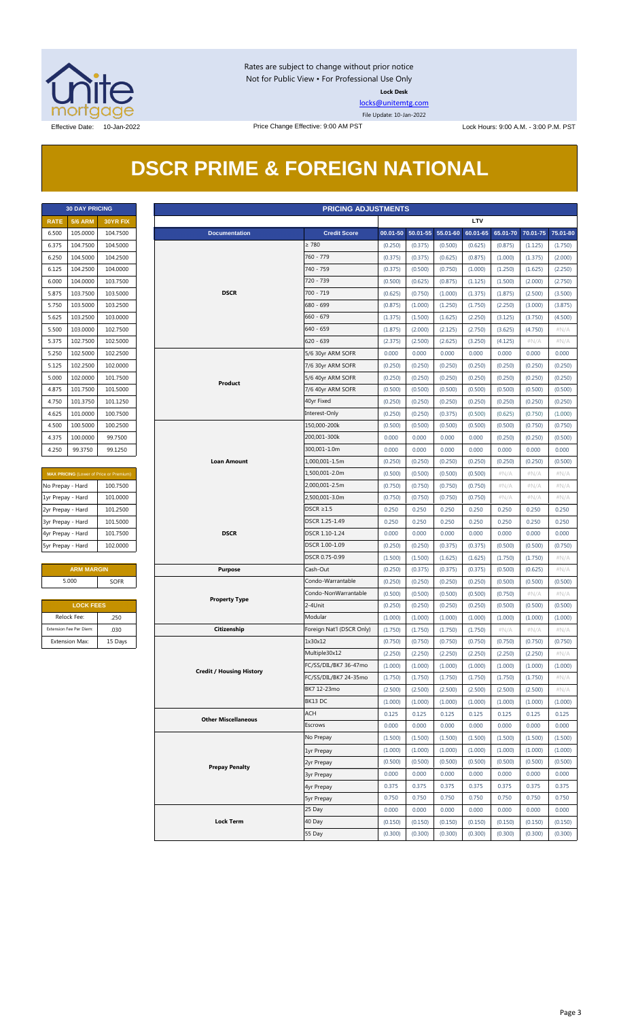

Rates are subject to change without prior notice Not for Public View • For Professional Use Only **Lock Desk**

[locks@unitemtg.com](mailto:locks@unitemtg.com) File Update: 10-Jan-2022

Effective Date: 10-Jan-2022 **Price Change Effective: 9:00 AM PST** Lock Hours: 9:00 A.M. - 3:00 P.M. PST

|  | <b>DSCR PRIME &amp; FOREIGN NATIONAL</b> |  |
|--|------------------------------------------|--|
|  |                                          |  |

| <b>30 DAY PRICING</b> |                |                 |  |  |
|-----------------------|----------------|-----------------|--|--|
| <b>RATE</b>           | <b>5/6 ARM</b> | <b>30YR FIX</b> |  |  |
| 6.500                 | 105.0000       | 104.7500        |  |  |
| 6.375                 | 104.7500       | 104.5000        |  |  |
| 6.250                 | 104.5000       | 104.2500        |  |  |
| 6.125                 | 104.2500       | 104.0000        |  |  |
| 6.000                 | 104.0000       | 103.7500        |  |  |
| 5.875                 | 103.7500       | 103.5000        |  |  |
| 5.750                 | 103.5000       | 103.2500        |  |  |
| 5.625                 | 103.2500       | 103.0000        |  |  |
| 5.500                 | 103.0000       | 102.7500        |  |  |
| 5.375                 | 102.7500       | 102.5000        |  |  |
| 5.250                 | 102.5000       | 102.2500        |  |  |
| 5.125                 | 102.2500       | 102.0000        |  |  |
| 5.000                 | 102.0000       | 101.7500        |  |  |
| 4.875                 | 101.7500       | 101.5000        |  |  |
| 4.750                 | 101.3750       | 101.1250        |  |  |
| 4.625                 | 101.0000       | 100.7500        |  |  |
| 4.500                 | 100.5000       | 100.2500        |  |  |
| 4.375                 | 100.0000       | 99.7500         |  |  |
| 4.250                 | 99.3750        | 99.1250         |  |  |

| <b>MAX PRICING (Lower of Price or Premium)</b> |          |  |  |
|------------------------------------------------|----------|--|--|
| No Prepay - Hard                               | 100.7500 |  |  |
| 1yr Prepay - Hard                              | 101.0000 |  |  |
| 2yr Prepay - Hard                              | 101.2500 |  |  |
| 3yr Prepay - Hard                              | 101.5000 |  |  |
| 4yr Prepay - Hard                              | 101.7500 |  |  |
| 5yr Prepay - Hard                              | 102.0000 |  |  |

| <b>ARM MARGIN</b> |      |  |  |
|-------------------|------|--|--|
| 5.000             | SOFR |  |  |

| <b>LOCK FEES</b>        |         |  |  |
|-------------------------|---------|--|--|
| Relock Fee:             | .250    |  |  |
| Extension Fee Per Diem: | .030    |  |  |
| <b>Extension Max:</b>   | 15 Days |  |  |

|                   | <b>30 DAY PRICING</b>   |                                         | <b>PRICING ADJUSTMENTS</b>      |                           |         |                            |         |          |          |          |          |  |  |
|-------------------|-------------------------|-----------------------------------------|---------------------------------|---------------------------|---------|----------------------------|---------|----------|----------|----------|----------|--|--|
| <b>RATE</b>       | <b>5/6 ARM</b>          | 30YR FIX                                |                                 |                           |         |                            |         | LTV      |          |          |          |  |  |
| 6.500             | 105.0000                | 104.7500                                | <b>Documentation</b>            | <b>Credit Score</b>       |         | 00.01-50 50.01-55 55.01-60 |         | 60.01-65 | 65.01-70 | 70.01-75 | 75.01-80 |  |  |
| 6.375             | 104.7500                | 104.5000                                |                                 | $\geq 780$                | (0.250) | (0.375)                    | (0.500) | (0.625)  | (0.875)  | (1.125)  | (1.750)  |  |  |
| 6.250             | 104.5000                | 104.2500                                |                                 | 760 - 779                 | (0.375) | (0.375)                    | (0.625) | (0.875)  | (1.000)  | (1.375)  | (2.000)  |  |  |
| 6.125             | 104.2500                | 104.0000                                |                                 | 740 - 759                 | (0.375) | (0.500)                    | (0.750) | (1.000)  | (1.250)  | (1.625)  | (2.250)  |  |  |
| 6.000             | 104.0000                | 103.7500                                |                                 | 720 - 739                 | (0.500) | (0.625)                    | (0.875) | (1.125)  | (1.500)  | (2.000)  | (2.750)  |  |  |
| 5.875             | 103.7500                | 103.5000                                | <b>DSCR</b>                     | 700 - 719                 | (0.625) | (0.750)                    | (1.000) | (1.375)  | (1.875)  | (2.500)  | (3.500)  |  |  |
| 5.750             | 103.5000                | 103.2500                                |                                 | 680 - 699                 | (0.875) | (1.000)                    | (1.250) | (1.750)  | (2.250)  | (3.000)  | (3.875)  |  |  |
| 5.625             | 103.2500                | 103.0000                                |                                 | $660 - 679$               | (1.375) | (1.500)                    | (1.625) | (2.250)  | (3.125)  | (3.750)  | (4.500)  |  |  |
| 5.500             | 103.0000                | 102.7500                                |                                 | $640 - 659$               | (1.875) | (2.000)                    | (2.125) | (2.750)  | (3.625)  | (4.750)  | #N/A     |  |  |
| 5.375             | 102.7500                | 102.5000                                |                                 | $620 - 639$               | (2.375) | (2.500)                    | (2.625) | (3.250)  | (4.125)  | $\#N/A$  | # $N/A$  |  |  |
| 5.250             | 102.5000                | 102.2500                                |                                 | 5/6 30yr ARM SOFR         | 0.000   | 0.000                      | 0.000   | 0.000    | 0.000    | 0.000    | 0.000    |  |  |
| 5.125             | 102.2500                | 102.0000                                |                                 | 7/6 30yr ARM SOFR         | (0.250) | (0.250)                    | (0.250) | (0.250)  | (0.250)  | (0.250)  | (0.250)  |  |  |
| 5.000             | 102.0000                | 101.7500                                |                                 | 5/6 40yr ARM SOFR         | (0.250) | (0.250)                    | (0.250) | (0.250)  | (0.250)  | (0.250)  | (0.250)  |  |  |
| 4.875             | 101.7500                | 101.5000                                | Product                         | 7/6 40yr ARM SOFR         | (0.500) | (0.500)                    | (0.500) | (0.500)  | (0.500)  | (0.500)  | (0.500)  |  |  |
| 4.750             | 101.3750                | 101.1250                                |                                 | 40yr Fixed                | (0.250) | (0.250)                    | (0.250) | (0.250)  | (0.250)  | (0.250)  | (0.250)  |  |  |
| 4.625             | 101.0000                | 100.7500                                |                                 | Interest-Only             | (0.250) | (0.250)                    | (0.375) | (0.500)  | (0.625)  | (0.750)  | (1.000)  |  |  |
| 4.500             | 100.5000                | 100.2500                                |                                 | 150,000-200k              | (0.500) | (0.500)                    | (0.500) | (0.500)  | (0.500)  | (0.750)  | (0.750)  |  |  |
| 4.375             | 100.0000                | 99.7500                                 |                                 | 200,001-300k              | 0.000   | 0.000                      | 0.000   | 0.000    | (0.250)  | (0.250)  | (0.500)  |  |  |
| 4.250             | 99.3750                 | 99.1250                                 |                                 | 300,001-1.0m              | 0.000   | 0.000                      | 0.000   | 0.000    | 0.000    | 0.000    | 0.000    |  |  |
|                   |                         |                                         | <b>Loan Amount</b>              | 1,000,001-1.5m            | (0.250) | (0.250)                    | (0.250) | (0.250)  | (0.250)  | (0.250)  | (0.500)  |  |  |
|                   |                         | MAX PRICING (Lower of Price or Premium) |                                 | 1,500,001-2.0m            | (0.500) | (0.500)                    | (0.500) | (0.500)  | #N/A     | $\#N/A$  | #N/A     |  |  |
| No Prepay - Hard  |                         | 100.7500                                |                                 | 2,000,001-2.5m            | (0.750) | (0.750)                    | (0.750) | (0.750)  | #N/A     | $\#N/A$  | #N/A     |  |  |
| 1yr Prepay - Hard |                         | 101.0000                                |                                 | 2,500,001-3.0m            | (0.750) | (0.750)                    | (0.750) | (0.750)  | $\#N/A$  | $\#N/A$  | $\#N/A$  |  |  |
| 2yr Prepay - Hard |                         | 101.2500                                |                                 | $DSCR \geq 1.5$           | 0.250   | 0.250                      | 0.250   | 0.250    | 0.250    | 0.250    | 0.250    |  |  |
| 3yr Prepay - Hard |                         | 101.5000                                |                                 | DSCR 1.25-1.49            | 0.250   | 0.250                      | 0.250   | 0.250    | 0.250    | 0.250    | 0.250    |  |  |
| 4yr Prepay - Hard |                         | 101.7500                                | <b>DSCR</b>                     | DSCR 1.10-1.24            | 0.000   | 0.000                      | 0.000   | 0.000    | 0.000    | 0.000    | 0.000    |  |  |
| 5yr Prepay - Hard |                         | 102.0000                                |                                 | DSCR 1.00-1.09            | (0.250) | (0.250)                    | (0.375) | (0.375)  | (0.500)  | (0.500)  | (0.750)  |  |  |
|                   |                         |                                         |                                 | DSCR 0.75-0.99            | (1.500) | (1.500)                    | (1.625) | (1.625)  | (1.750)  | (1.750)  | $\#N/A$  |  |  |
|                   | <b>ARM MARGIN</b>       |                                         | <b>Purpose</b>                  | Cash-Out                  | (0.250) | (0.375)                    | (0.375) | (0.375)  | (0.500)  | (0.625)  | $\#N/A$  |  |  |
|                   | 5.000                   | <b>SOFR</b>                             |                                 | Condo-Warrantable         | (0.250) | (0.250)                    | (0.250) | (0.250)  | (0.500)  | (0.500)  | (0.500)  |  |  |
|                   |                         |                                         | <b>Property Type</b>            | Condo-NonWarrantable      | (0.500) | (0.500)                    | (0.500) | (0.500)  | (0.750)  | $\#N/A$  | $\#N/A$  |  |  |
|                   | <b>LOCK FEES</b>        |                                         |                                 | 2-4Unit                   | (0.250) | (0.250)                    | (0.250) | (0.250)  | (0.500)  | (0.500)  | (0.500)  |  |  |
|                   | Relock Fee:             | .250                                    |                                 | Modular                   | (1.000) | (1.000)                    | (1.000) | (1.000)  | (1.000)  | (1.000)  | (1.000)  |  |  |
|                   | Extension Fee Per Diem: | .030                                    | Citizenship                     | Foreign Nat'l (DSCR Only) | (1.750) | (1.750)                    | (1.750) | (1.750)  | #N/A     | $\#N/A$  | $\#N/A$  |  |  |
|                   | <b>Extension Max:</b>   | 15 Days                                 |                                 | 1x30x12                   | (0.750) | (0.750)                    | (0.750) | (0.750)  | (0.750)  | (0.750)  | (0.750)  |  |  |
|                   |                         |                                         |                                 | Multiple30x12             | (2.250) | (2.250)                    | (2.250) | (2.250)  | (2.250)  | (2.250)  | # $N/A$  |  |  |
|                   |                         |                                         | <b>Credit / Housing History</b> | FC/SS/DIL/BK7 36-47mo     | (1.000) | (1.000)                    | (1.000) | (1.000)  | (1.000)  | (1.000)  | (1.000)  |  |  |
|                   |                         |                                         |                                 | FC/SS/DIL/BK7 24-35mo     | (1.750) | (1.750)                    | (1.750) | (1.750)  | (1.750)  | (1.750)  | $\#N/A$  |  |  |
|                   |                         |                                         |                                 | BK7 12-23mo               | (2.500) | (2.500)                    | (2.500) | (2.500)  | (2.500)  | (2.500)  | $\#N/A$  |  |  |
|                   |                         |                                         |                                 | BK13 DC                   | (1.000) | (1.000)                    | (1.000) | (1.000)  | (1.000)  | (1.000)  | (1.000)  |  |  |
|                   |                         |                                         | <b>Other Miscellaneous</b>      | ACH                       | 0.125   | 0.125                      | 0.125   | 0.125    | 0.125    | 0.125    | 0.125    |  |  |
|                   |                         |                                         |                                 | Escrows                   | 0.000   | 0.000                      | 0.000   | 0.000    | 0.000    | 0.000    | 0.000    |  |  |
|                   |                         |                                         |                                 | No Prepay                 | (1.500) | (1.500)                    | (1.500) | (1.500)  | (1.500)  | (1.500)  | (1.500)  |  |  |
|                   |                         |                                         |                                 | 1yr Prepay                | (1.000) | (1.000)                    | (1.000) | (1.000)  | (1.000)  | (1.000)  | (1.000)  |  |  |
|                   |                         |                                         | <b>Prepay Penalty</b>           | 2yr Prepay                | (0.500) | (0.500)                    | (0.500) | (0.500)  | (0.500)  | (0.500)  | (0.500)  |  |  |
|                   |                         |                                         |                                 | <b>3yr Prepay</b>         | 0.000   | 0.000                      | 0.000   | 0.000    | 0.000    | 0.000    | 0.000    |  |  |
|                   |                         |                                         |                                 | 4yr Prepay                | 0.375   | 0.375                      | 0.375   | 0.375    | 0.375    | 0.375    | 0.375    |  |  |
|                   |                         |                                         |                                 | <b>5yr Prepay</b>         | 0.750   | 0.750                      | 0.750   | 0.750    | 0.750    | 0.750    | 0.750    |  |  |
|                   |                         |                                         |                                 | 25 Day                    | 0.000   | 0.000                      | 0.000   | 0.000    | 0.000    | 0.000    | 0.000    |  |  |
|                   |                         |                                         | <b>Lock Term</b>                | 40 Day                    | (0.150) | (0.150)                    | (0.150) | (0.150)  | (0.150)  | (0.150)  | (0.150)  |  |  |
|                   |                         |                                         |                                 | 55 Day                    | (0.300) | (0.300)                    | (0.300) | (0.300)  | (0.300)  | (0.300)  | (0.300)  |  |  |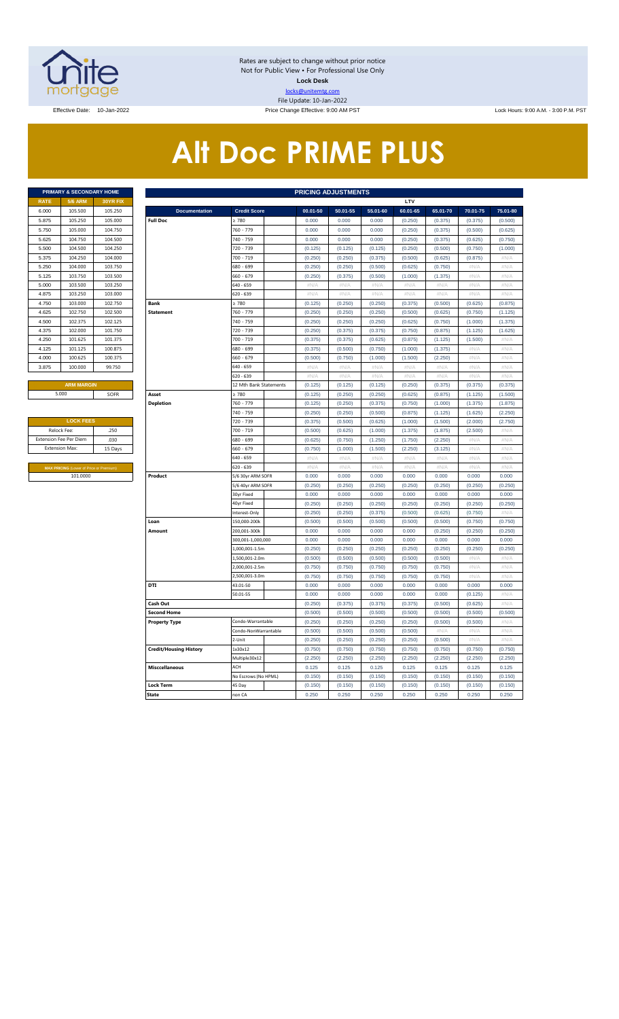

Rates are subject to change without prior notice Not for Public View • For Professional Use Only **Lock Desk** locks@unitemtg.com File Update: 10-Jan-2022 Effective Date: 10-Jan-2022 Price Change Effective: 9:00 AM PST Lock Hours: 9:00 A.M. - 3:00 P.M. PST

# **Alt Doc PRIME PLUS**

|             | <b>PRIMARY &amp; SECONDARY HOME</b> |                 |
|-------------|-------------------------------------|-----------------|
| <b>RATE</b> | <b>5/6 ARM</b>                      | <b>30YR FIX</b> |
| 6.000       | 105,500                             | 105.250         |
| 5.875       | 105.250                             | 105.000         |
| 5.750       | 105.000                             | 104.750         |
| 5.625       | 104.750                             | 104.500         |
| 5.500       | 104.500                             | 104.250         |
| 5.375       | 104.250                             | 104.000         |
| 5.250       | 104.000                             | 103.750         |
| 5.125       | 103.750                             | 103.500         |
| 5.000       | 103.500                             | 103.250         |
| 4.875       | 103.250                             | 103,000         |
| 4.750       | 103,000                             | 102.750         |
| 4.625       | 102.750                             | 102.500         |
| 4.500       | 102.375                             | 102.125         |
| 4.375       | 102,000                             | 101.750         |
| 4.250       | 101.625                             | 101.375         |
| 4.125       | 101.125                             | 100.875         |
| 4.000       | 100.625                             | 100.375         |
| 3.875       | 100,000                             | 99.750          |
|             |                                     |                 |

| <b>LOCK FEES</b>                               |         |
|------------------------------------------------|---------|
| Relock Fee:                                    | .250    |
| <b>Extension Fee Per Diem</b>                  | .030    |
| <b>Extension Max:</b>                          | 15 Days |
|                                                |         |
| <b>MAX PRICING (Lower of Price or Premium)</b> |         |
| 101.0000                                       |         |

|                | PRIMARY & SECONDARY HOME                       |          | <b>PRICING ADJUSTMENTS</b>    |                                 |                    |                    |                    |                    |                           |                 |              |  |  |
|----------------|------------------------------------------------|----------|-------------------------------|---------------------------------|--------------------|--------------------|--------------------|--------------------|---------------------------|-----------------|--------------|--|--|
| RATE           | <b>5/6 ARM</b>                                 | 30YR FIX |                               |                                 |                    |                    |                    | LTV                |                           |                 |              |  |  |
| 6.000          | 105.500                                        | 105.250  | <b>Documentation</b>          | <b>Credit Score</b>             | $00.01 - 50$       | 50.01-55           | 55.01-60           | 60.01-65           | 65.01-70                  | 70.01-75        | 75.01-80     |  |  |
| 5.875          | 105.250                                        | 105.000  | <b>Full Doc</b>               | 780                             | 0.000              | 0.000              | 0.000              | (0.250)            | (0.375)                   | (0.375)         | (0.500)      |  |  |
| 5.750          | 105,000                                        | 104.750  |                               | 760 - 779                       | 0.000              | 0.000              | 0.000              | (0.250)            | (0.375)                   | (0.500)         | (0.625)      |  |  |
| 5.625          | 104.750                                        | 104.500  |                               | 740 - 759                       | 0.000              | 0.000              | 0.000              | (0.250)            | (0.375)                   | (0.625)         | (0.750)      |  |  |
| 5.500          | 104.500                                        | 104.250  |                               | 720 - 739                       | (0.125)            | (0.125)            | (0.125)            | (0.250)            | (0.500)                   | (0.750)         | (1.000)      |  |  |
| 5.375          | 104.250                                        | 104.000  |                               | 700 - 719                       | (0.250)            | (0.250)            | (0.375)            | (0.500)            | (0.625)                   | (0.875)         | #N/A         |  |  |
| 5.250          | 104.000                                        | 103.750  |                               | 680 - 699                       | (0.250)            | (0.250)            | (0.500)            | (0.625)            | (0.750)                   | #N/A            | #N/A         |  |  |
| 5.125          | 103.750                                        | 103.500  |                               | 660 - 679                       | (0.250)            | (0.375)            | (0.500)            | (1.000)            | (1.375)                   | #N/A            | #N/A         |  |  |
| 5.000          | 103.500                                        | 103.250  |                               | 640 - 659                       | #N/A               | $\#N/A$            | #N/A               | #N/A               | #N/A                      | #N/A            | $\#N/A$      |  |  |
| 4.875          | 103.250                                        | 103.000  |                               | 620 - 639                       | #N/A               | #N/A               | #N/A               | #N/A               | #N/A                      | #N/A            | #N/A         |  |  |
| 4.750          | 103.000                                        | 102.750  | <b>Bank</b>                   | $\geq 780$                      | (0.125)            | (0.250)            | (0.250)            | (0.375)            | (0.500)                   | (0.625)         | (0.875)      |  |  |
| 4.625          | 102.750                                        | 102.500  | <b>Statement</b>              | 760 - 779                       | (0.250)            | (0.250)            | (0.250)            | (0.500)            | (0.625)                   | (0.750)         | (1.125)      |  |  |
| 4.500          | 102.375                                        | 102.125  |                               | 740 - 759                       | (0.250)            | (0.250)            | (0.250)            | (0.625)            | (0.750)                   | (1.000)         | (1.375)      |  |  |
| 4.375          | 102.000                                        | 101.750  |                               | 720 - 739                       | (0.250)            | (0.375)            | (0.375)            | (0.750)            | (0.875)                   | (1.125)         | (1.625)      |  |  |
| 4.250          | 101.625                                        | 101.375  |                               | 700 - 719                       | (0.375)            | (0.375)            | (0.625)            | (0.875)            | (1.125)                   | (1.500)         | #N/A         |  |  |
| 4.125          | 101.125                                        | 100.875  |                               | 680 - 699                       | (0.375)            | (0.500)            | (0.750)            | (1.000)            | (1.375)                   | #N/A            | #N/A         |  |  |
| 4.000          | 100.625                                        | 100.375  |                               | 660 - 679                       | (0.500)            | (0.750)            | (1.000)            | (1.500)            | (2.250)                   | #N/A            | #N/A         |  |  |
| 3.875          | 100.000                                        | 99.750   |                               | 640 - 659                       | $\#N/A$            | $\#N/A$            | #N/A               | #N/A               | #N/A                      | #N/A            | #N/A         |  |  |
|                |                                                |          |                               | $520 - 639$                     | #N/A               | #N/A               | $\#N/A$            | $\#N/A$            | #N/A                      | #N/A            | #N/A         |  |  |
|                | <b>ARM MARGIN</b>                              |          |                               | 12 Mth Bank Statements          | (0.125)            | (0.125)            | (0.125)            | (0.250)            | (0.375)                   | (0.375)         | (0.375)      |  |  |
|                | 5.000                                          | SOFR     | Asset                         | $\geq 780$                      | (0.125)            | (0.250)            | (0.250)            | (0.625)            | (0.875)                   | (1.125)         | (1.500)      |  |  |
|                |                                                |          | <b>Depletion</b>              | 760 - 779                       | (0.125)            | (0.250)            | (0.375)            | (0.750)            | (1.000)                   | (1.375)         | (1.875)      |  |  |
|                |                                                |          |                               | 740 - 759                       | (0.250)            | (0.250)            | (0.500)            | (0.875)            | (1.125)                   | (1.625)         | (2.250)      |  |  |
|                | <b>LOCK FEES</b>                               |          |                               | 720 - 739                       | (0.375)            | (0.500)            | (0.625)            | (1.000)            | (1.500)                   | (2.000)         | (2.750)      |  |  |
|                | Relock Fee:                                    | .250     |                               | 700 - 719                       | (0.500)            | (0.625)            | (1.000)            | (1.375)            | (1.875)                   | (2.500)         | $\#N/\beta$  |  |  |
|                | xtension Fee Per Diem                          | .030     |                               | 680 - 699                       | (0.625)            | (0.750)            | (1.250)            | (1.750)            | (2.250)                   | #N/A            | #N/A         |  |  |
| Extension Max: |                                                | 15 Days  |                               | 660 - 679                       | (0.750)            | (1.000)            | (1.500)            | (2.250)            | (3.125)                   | #N/A            | $\#N/A$      |  |  |
|                |                                                |          |                               | 640 - 659                       | $\#N/A$            | $\#N/A$            | $\#N/\beta$        | $\#N/A$            | $\#N/A$                   | #N/A            | $\#N/A$      |  |  |
|                | <b>MAX PRICING (Lower of Price or Premium)</b> |          |                               | 620 - 639                       | $\#N/A$            | #N/A               | #N/A               | $\#N/A$            | $\#\mathsf{N}/\mathsf{A}$ | #N/A            | $\#N/A$      |  |  |
|                | 101.0000                                       |          | Product                       | 5/6 30yr ARM SOFR               | 0.000              | 0.000              | 0.000              | 0.000              | 0.000                     | 0.000           | 0.000        |  |  |
|                |                                                |          |                               | 5/6 40yr ARM SOFR               | (0.250)            | (0.250)            | (0.250)            | (0.250)            | (0.250)                   | (0.250)         | (0.250)      |  |  |
|                |                                                |          |                               | 30yr Fixed                      | 0.000              | 0.000              | 0.000              | 0.000              | 0.000                     | 0.000           | 0.000        |  |  |
|                |                                                |          |                               | 40yr Fixed                      | (0.250)            | (0.250)            | (0.250)            | (0.250)            | (0.250)                   | (0.250)         | (0.250)      |  |  |
|                |                                                |          |                               | Interest-Only                   | (0.250)            | (0.250)            | (0.375)            | (0.500)            | (0.625)                   | (0.750)         | #N/A         |  |  |
|                |                                                |          | Loan                          | 150,000-200k                    | (0.500)            | (0.500)            | (0.500)            | (0.500)            | (0.500)                   | (0.750)         | (0.750)      |  |  |
|                |                                                |          | Amount                        | 200,001-300k                    | 0.000              | 0.000              | 0.000              | 0.000              | (0.250)                   | (0.250)         | (0.250)      |  |  |
|                |                                                |          |                               | 300,001-1,000,000               | 0.000              | 0.000              | 0.000              | 0.000              | 0.000                     | 0.000           | 0.000        |  |  |
|                |                                                |          |                               | 1,000,001-1.5m                  | (0.250)            | (0.250)            | (0.250)            | (0.250)            | (0.250)                   | (0.250)         | (0.250)      |  |  |
|                |                                                |          |                               | 1,500,001-2.0m<br>,000,001-2.5m | (0.500)<br>(0.750) | (0.500)<br>(0.750) | (0.500)<br>(0.750) | (0.500)<br>(0.750) | (0.500)<br>(0.750)        | #N/A<br># $N/A$ | #N/A<br>#N/A |  |  |
|                |                                                |          |                               | 2,500,001-3.0m                  | (0.750)            | (0.750)            | (0.750)            | (0.750)            | (0.750)                   | #N/A            | $\#N/A$      |  |  |
|                |                                                |          | <b>DTI</b>                    | 43.01-50                        | 0.000              | 0.000              | 0.000              | 0.000              | 0.000                     | 0.000           | 0.000        |  |  |
|                |                                                |          |                               | 50.01-55                        | 0.000              | 0.000              | 0.000              | 0.000              | 0.000                     | (0.125)         | #N/A         |  |  |
|                |                                                |          | Cash Out                      |                                 | (0.250)            | (0.375)            | (0.375)            | (0.375)            | (0.500)                   | (0.625)         | #N/A         |  |  |
|                |                                                |          | <b>Second Home</b>            |                                 | (0.500)            | (0.500)            | (0.500)            | (0.500)            | (0.500)                   | (0.500)         | (0.500)      |  |  |
|                |                                                |          | <b>Property Type</b>          | Condo-Warrantable               | (0.250)            | (0.250)            | (0.250)            | (0.250)            | (0.500)                   | (0.500)         | #N//         |  |  |
|                |                                                |          |                               | Condo-NonWarrantable            | (0.500)            | (0.500)            | (0.500)            | (0.500)            | $\#N/A$                   | #N/A            | #N/A         |  |  |
|                |                                                |          |                               | 2-Unit                          | (0.250)            | (0.250)            | (0.250)            | (0.250)            | (0.500)                   | #N/A            | #N/A         |  |  |
|                |                                                |          | <b>Credit/Housing History</b> | 1x30x12                         | (0.750)            | (0.750)            | (0.750)            | (0.750)            | (0.750)                   | (0.750)         | (0.750)      |  |  |
|                |                                                |          |                               | Multiple30x12                   | (2.250)            | (2.250)            | (2.250)            | (2.250)            | (2.250)                   | (2.250)         | (2.250)      |  |  |
|                |                                                |          | <b>Misccellaneous</b>         | ACH                             | 0.125              | 0.125              | 0.125              | 0.125              | 0.125                     | 0.125           | 0.125        |  |  |
|                |                                                |          |                               | No Escrows (No HPML)            | (0.150)            | (0.150)            | (0.150)            | (0.150)            | (0.150)                   | (0.150)         | (0.150)      |  |  |
|                |                                                |          | Lock Term                     | 45 Day                          | (0.150)            | (0.150)            | (0.150)            | (0.150)            | (0.150)                   | (0.150)         | (0.150)      |  |  |
|                |                                                |          | <b>State</b>                  | non CA                          | 0.250              | 0.250              | 0.250              | 0.250              | 0.250                     | 0.250           | 0.250        |  |  |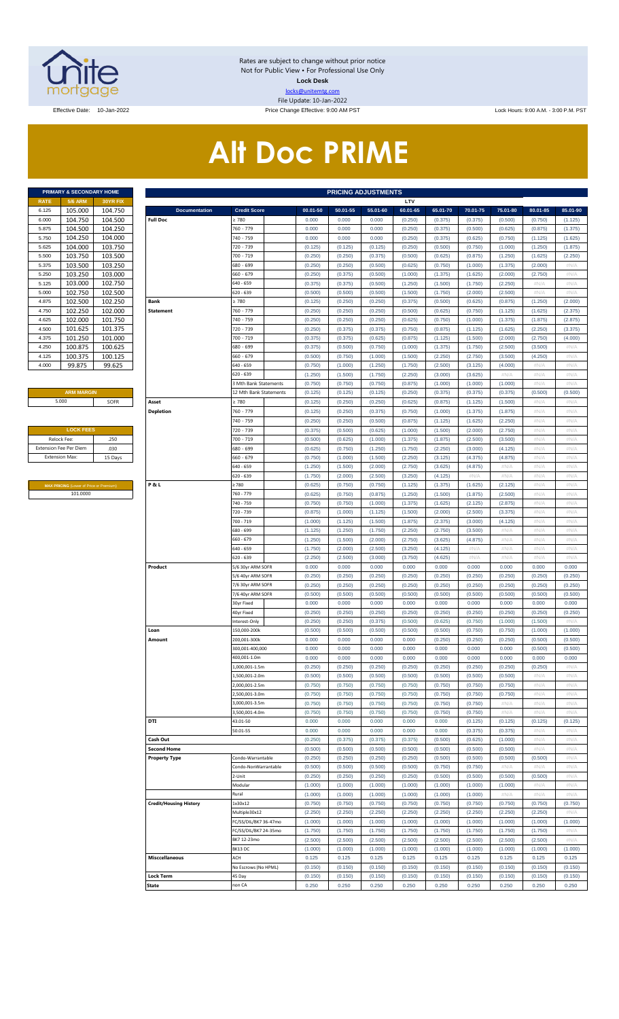

Rates are subject to change without prior notice Not for Public View • For Professional Use Only **Lock Desk** locks@unitemtg.com File Update: 10-Jan-2022

Effective Date: 10-Jan-2022 **Price Change Effective: 9:00 AM PST** Lock Hours: 9:00 A.M. - 3:00 P.M. PST

# **Alt Doc PRIME**

| <b>PRIMARY &amp; SECONDARY HOME</b> |                |                 |  |  |  |  |  |  |  |  |  |  |
|-------------------------------------|----------------|-----------------|--|--|--|--|--|--|--|--|--|--|
| <b>RATE</b>                         | <b>5/6 ARM</b> | <b>30YR FIX</b> |  |  |  |  |  |  |  |  |  |  |
| 6.125                               | 105.000        | 104.750         |  |  |  |  |  |  |  |  |  |  |
| 6.000                               | 104.750        | 104.500         |  |  |  |  |  |  |  |  |  |  |
| 5.875                               | 104.500        | 104.250         |  |  |  |  |  |  |  |  |  |  |
| 5.750                               | 104.250        | 104.000         |  |  |  |  |  |  |  |  |  |  |
| 5.625                               | 104.000        | 103.750         |  |  |  |  |  |  |  |  |  |  |
| 5.500                               | 103.750        | 103.500         |  |  |  |  |  |  |  |  |  |  |
| 5.375                               | 103.500        | 103.250         |  |  |  |  |  |  |  |  |  |  |
| 5.250                               | 103.250        | 103.000         |  |  |  |  |  |  |  |  |  |  |
| 5.125                               | 103.000        | 102.750         |  |  |  |  |  |  |  |  |  |  |
| 5.000                               | 102.750        | 102.500         |  |  |  |  |  |  |  |  |  |  |
| 4.875                               | 102.500        | 102.250         |  |  |  |  |  |  |  |  |  |  |
| 4.750                               | 102.250        | 102.000         |  |  |  |  |  |  |  |  |  |  |
| 4.625                               | 102.000        | 101.750         |  |  |  |  |  |  |  |  |  |  |
| 4.500                               | 101.625        | 101.375         |  |  |  |  |  |  |  |  |  |  |
| 4.375                               | 101.250        | 101.000         |  |  |  |  |  |  |  |  |  |  |
| 4.250                               | 100.875        | 100.625         |  |  |  |  |  |  |  |  |  |  |
| 4.125                               | 100.375        | 100.125         |  |  |  |  |  |  |  |  |  |  |
| 4.000                               | 99.875         | 99.625          |  |  |  |  |  |  |  |  |  |  |

#### **ARM MARGIN**

| <b>LOCK FEES</b>              |         |
|-------------------------------|---------|
| Relock Fee:                   | .250    |
| <b>Extension Fee Per Diem</b> | .030    |
| <b>Extension Max:</b>         | 15 Days |
|                               |         |

**MAX PRICING** (Lower of Price or Premium) 101.0000

|                       | PRIMARY & SECONDARY HOME                |                    | <b>PRICING ADJUSTMENTS</b>    |                            |                    |                    |                    |                    |                    |                    |                    |                    |                    |  |
|-----------------------|-----------------------------------------|--------------------|-------------------------------|----------------------------|--------------------|--------------------|--------------------|--------------------|--------------------|--------------------|--------------------|--------------------|--------------------|--|
| RATE                  | <b>5/6 ARM</b>                          | 30YR FIX           |                               |                            |                    |                    |                    | LTV                |                    |                    |                    |                    |                    |  |
| 6.125                 | 105.000                                 | 104.750            | <b>Documentation</b>          | <b>Credit Score</b>        | 00.01-50           | 50.01-55           | 55.01-60           | 60.01-65           | 65.01-70           | 70.01-75           | 75.01-80           | 80.01-85           | 85.01-90           |  |
| 6.000                 | 104.750                                 | 104.500            | <b>Full Doc</b>               | 2780                       | 0.000              | 0.000              | 0.000              | (0.250)            | (0.375)            | (0.375)            | (0.500)            | (0.750)            | (1.125)            |  |
| 5.875                 | 104.500                                 | 104.250            |                               | 760 - 779                  | 0.000              | 0.000              | 0.000              | (0.250)            | (0.375)            | (0.500)            | (0.625)            | (0.875)            | (1.375)            |  |
| 5.750                 | 104.250                                 | 104.000            |                               | 740 - 759                  | 0.000              | 0.000              | 0.000              | (0.250)            | (0.375)            | (0.625)            | (0.750)            | (1.125)            | (1.625)            |  |
| 5.625                 | 104.000                                 | 103.750            |                               | 720 - 739                  | (0.125)            | (0.125)            | (0.125)            | (0.250)            | (0.500)            | (0.750)            | (1.000)            | (1.250)            | (1.875)            |  |
| 5.500                 | 103.750                                 | 103.500            |                               | 700 - 719                  | (0.250)            | (0.250)            | (0.375)            | (0.500)            | (0.625)            | (0.875)            | (1.250)            | (1.625)            | (2.250)            |  |
| 5.375                 | 103.500                                 | 103.250            |                               | 680 - 699                  | (0.250)            | (0.250)            | (0.500)            | (0.625)            | (0.750)            | (1.000)            | (1.375)            | (2.000)            | #N/A               |  |
| 5.250                 | 103.250                                 | 103.000            |                               | $660 - 679$<br>$640 - 659$ | (0.250)            | (0.375)            | (0.500)            | (1.000)            | (1.375)            | (1.625)            | (2.000)            | (2.750)            | #N/A               |  |
| 5.125                 | 103.000                                 | 102.750            |                               | $620 - 639$                | (0.375)            | (0.375)            | (0.500)            | (1.250)            | (1.500)            | (1.750)            | (2.250)            | #N/A<br>#N/A       | #N/A               |  |
| 5.000                 | 102.750                                 | 102.500            | <b>Bank</b>                   |                            | (0.500)            | (0.500)            | (0.500)            | (1.500)            | (1.750)            | (2.000)            | (2.500)            |                    | #N/A               |  |
| 4.875                 | 102.500                                 | 102.250            |                               | 2780                       | (0.125)            | (0.250)            | (0.250)            | (0.375)            | (0.500)            | (0.625)            | (0.875)            | (1.250)            | (2.000)            |  |
| 4.750                 | 102.250                                 | 102.000<br>101.750 | <b>Statement</b>              | 760 - 779                  | (0.250)            | (0.250)            | (0.250)            | (0.500)            | (0.625)            | (0.750)            | (1.125)            | (1.625)            | (2.375)            |  |
| 4.625<br>4.500        | 102.000                                 |                    |                               | 740 - 759<br>720 - 739     | (0.250)            | (0.250)            | (0.250)            | (0.625)            | (0.750)            | (1.000)            | (1.375)            | (1.875)<br>(2.250) | (2.875)            |  |
| 4.375                 | 101.625<br>101.250                      | 101.375<br>101.000 |                               | 700 - 719                  | (0.250)<br>(0.375) | (0.375)<br>(0.375) | (0.375)<br>(0.625) | (0.750)<br>(0.875) | (0.875)<br>(1.125) | (1.125)<br>(1.500) | (1.625)<br>(2.000) | (2.750)            | (3.375)<br>(4.000) |  |
| 4.250                 | 100.875                                 | 100.625            |                               | 680 - 699                  | (0.375)            | (0.500)            | (0.750)            | (1.000)            | (1.375)            | (1.750)            | (2.500)            | (3.500)            | #N/A               |  |
| 4.125                 | 100.375                                 | 100.125            |                               | 660 - 679                  | (0.500)            | (0.750)            | (1.000)            | (1.500)            | (2.250)            | (2.750)            | (3.500)            | (4.250)            | #N/A               |  |
| 4.000                 | 99.875                                  | 99.625             |                               | 640 - 659                  | (0.750)            | (1.000)            | (1.250)            | (1.750)            | (2.500)            | (3.125)            | (4.000)            | #N/A               | #N/A               |  |
|                       |                                         |                    |                               | $620 - 639$                | (1.250)            | (1.500)            | (1.750)            | (2.250)            | (3.000)            | (3.625)            | #N/A               | #N/A               | #N/A               |  |
|                       |                                         |                    |                               | 3 Mth Bank Statements      | (0.750)            | (0.750)            | (0.750)            | (0.875)            | (1.000)            | (1.000)            | (1.000)            | #N/A               | #N/A               |  |
|                       | <b>ARM MARGIN</b>                       |                    |                               | 12 Mth Bank Statements     | (0.125)            | (0.125)            | (0.125)            | (0.250)            | (0.375)            | (0.375)            | (0.375)            | (0.500)            | (0.500)            |  |
|                       | 5.000                                   | SOFR               | Asset                         | 2780                       | (0.125)            | (0.250)            | (0.250)            | (0.625)            | (0.875)            | (1.125)            | (1.500)            | #N/A               | #N/A               |  |
|                       |                                         |                    | <b>Depletion</b>              | 760 - 779                  | (0.125)            | (0.250)            | (0.375)            | (0.750)            | (1.000)            | (1.375)            | (1.875)            | #N/A               | #N/A               |  |
|                       |                                         |                    |                               | 740 - 759                  | (0.250)            | (0.250)            | (0.500)            | (0.875)            | (1.125)            | (1.625)            | (2.250)            | #N/A               | #N/A               |  |
|                       | <b>LOCK FEES</b>                        |                    |                               | 720 - 739                  | (0.375)            | (0.500)            | (0.625)            | (1.000)            | (1.500)            | (2.000)            | (2.750)            | #N/A               | #N/A               |  |
| Relock Fee:           |                                         | .250               |                               | 700 - 719                  | (0.500)            | (0.625)            | (1.000)            | (1.375)            | (1.875)            | (2.500)            | (3.500)            | #N/A               | #N/A               |  |
|                       | xtension Fee Per Diem                   | .030               |                               | 680 - 699                  | (0.625)            | (0.750)            | (1.250)            | (1.750)            | (2.250)            | (3.000)            | (4.125)            | #N/A               | #N/A               |  |
| <b>Extension Max:</b> |                                         | 15 Days            |                               | $660 - 679$                | (0.750)            | (1.000)            | (1.500)            | (2.250)            | (3.125)            | (4.375)            | (4.875)            | #N/A               | #N/A               |  |
|                       |                                         |                    |                               | 640 - 659                  | (1.250)            | (1.500)            | (2.000)            | (2.750)            | (3.625)            | (4.875)            | #N/A               | #N/A               | #N/A               |  |
|                       |                                         |                    |                               | $620 - 639$                | (1.750)            | (2.000)            | (2.500)            | (3.250)            | (4.125)            | #N/A               | #N/A               | #N/A               | #N/A               |  |
|                       | MAX PRICING (Lower of Price or Premium) |                    | <b>P&amp;L</b>                | 2780                       | (0.625)            | (0.750)            | (0.750)            | (1.125)            | (1.375)            | (1.625)            | (2.125)            | #N/A               | #N/A               |  |
|                       | 101.0000                                |                    |                               | 760 - 779                  | (0.625)            | (0.750)            | (0.875)            | (1.250)            | (1.500)            | (1.875)            | (2.500)            | #N/A               | #N/A               |  |
|                       |                                         |                    |                               | 740 - 759                  | (0.750)            | (0.750)            | (1.000)            | (1.375)            | (1.625)            | (2.125)            | (2.875)            | #N/A               | #N/A               |  |
|                       |                                         |                    |                               | 720 - 739                  | (0.875)            | (1.000)            | (1.125)            | (1.500)            | (2.000)            | (2.500)            | (3.375)            | #N/A               | #N/A               |  |
|                       |                                         |                    |                               | 700 - 719                  | (1.000)            | (1.125)            | (1.500)            | (1.875)            | (2.375)            | (3.000)            | (4.125)            | #N/A               | #N/A               |  |
|                       |                                         |                    |                               | 680 - 699                  | (1.125)            | (1.250)            | (1.750)            | (2.250)            | (2.750)            | (3.500)            | #N/A               | #N/A               | #N/A               |  |
|                       |                                         |                    |                               | $660 - 679$                | (1.250)            | (1.500)            | (2.000)            | (2.750)            | (3.625)            | (4.875)            | #N/A               | #N/A               | #N/A               |  |
|                       |                                         |                    |                               | $640 - 659$                | (1.750)            | (2.000)            | (2.500)            | (3.250)            | (4.125)            | #N/A               | #N/A               | #N/A               | #N/A               |  |
|                       |                                         |                    |                               | $620 - 639$                | (2.250)            | (2.500)            | (3.000)            | (3.750)            | (4.625)            | #N/A               | #N/A               | #N/A               | #N/A               |  |
|                       |                                         |                    | Product                       | 5/6 30yr ARM SOFR          | 0.000              | 0.000              | 0.000              | 0.000              | 0.000              | 0.000              | 0.000              | 0.000              | 0.000              |  |
|                       |                                         |                    |                               | 5/6 40yr ARM SOFR          | (0.250)            | (0.250)            | (0.250)            | (0.250)            | (0.250)            | (0.250)            | (0.250)            | (0.250)            | (0.250)            |  |
|                       |                                         |                    |                               | 7/6 30yr ARM SOFR          | (0.250)            | (0.250)            | (0.250)            | (0.250)            | (0.250)            | (0.250)            | (0.250)            | (0.250)            | (0.250)            |  |
|                       |                                         |                    |                               | 7/6 40yr ARM SOFR          | (0.500)            | (0.500)            | (0.500)            | (0.500)            | (0.500)            | (0.500)            | (0.500)            | (0.500)            | (0.500)            |  |
|                       |                                         |                    |                               | 30yr Fixed                 | 0.000              | 0.000              | 0.000              | 0.000              | 0.000              | 0.000              | 0.000              | 0.000              | 0.000              |  |
|                       |                                         |                    |                               | 40yr Fixed                 | (0.250)            | (0.250)            | (0.250)            | (0.250)            | (0.250)            | (0.250)            | (0.250)            | (0.250)            | (0.250)            |  |
|                       |                                         |                    |                               | Interest-Only              | (0.250)            | (0.250)            | (0.375)            | (0.500)            | (0.625)            | (0.750)            | (1.000)            | (1.500)            | #N/A               |  |
|                       |                                         |                    | Loan                          | 150.000-200k               | (0.500)            | (0.500)            | (0.500)            | (0.500)            | (0.500)            | (0.750)            | (0.750)            | (1.000)            | (1.000)            |  |
|                       |                                         |                    | Amount                        | 200,001-300k               | 0.000              | 0.000              | 0.000              | 0.000              | (0.250)            | (0.250)            | (0.250)            | (0.500)            | (0.500)            |  |
|                       |                                         |                    |                               | 300,001-400,000            | 0.000              | 0.000              | 0.000              | 0.000              | 0.000              | 0.000              | 0.000              | (0.500)            | (0.500)            |  |
|                       |                                         |                    |                               | 400,001-1.0m               | 0.000              | 0.000              | 0.000              | 0.000              | 0.000              | 0.000              | 0.000              | 0.000              | 0.000              |  |
|                       |                                         |                    |                               | $.000.001 - 1.5m$          | (0.250)            | (0.250)            | (0.250)            | (0.250)            | (0.250)            | (0.250)            | (0.250)            | (0.250)            | #N/A               |  |
|                       |                                         |                    |                               | .500.001-2.0m              | (0.500)            | (0.500)            | (0.500)            | (0.500)            | (0.500)            | (0.500)            | (0.500)            | #N/A               | #N/A               |  |
|                       |                                         |                    |                               | 2,000,001-2.5m             | (0.750)            | (0.750)            | (0.750)            | (0.750)            | (0.750)            | (0.750)            | (0.750)            | #N/A               | #N/A               |  |
|                       |                                         |                    |                               | 2.500.001-3.0m             | (0.750)            | (0.750)            | (0.750)            | (0.750)            | (0.750)            | (0.750)            | (0.750)            | #N/A               | #N/A               |  |
|                       |                                         |                    |                               | 000.001-3.5m               | (0.750)            | (0.750)            | (0.750)            | (0.750)            | (0.750)            | (0.750)            | #N/A               | #N/A               | #N/A               |  |
|                       |                                         |                    |                               | 500,001-4.0m               | (0.750)            | (0.750)            | (0.750)            | (0.750)            | (0.750)            | (0.750)            | #N/A               | $\#N/A$            | #N/A               |  |
|                       |                                         |                    | DTI                           | 43.01-50                   | 0.000              | 0.000              | 0.000              | 0.000              | 0.000              | (0.125)            | (0.125)            | (0.125)            | (0.125)            |  |
|                       |                                         |                    |                               | 50.01-55                   | 0.000              | 0.000              | 0.000              | 0.000              | 0.000              | (0.375)            | (0.375)            | #N/A               | #N/A               |  |
|                       |                                         |                    | Cash Out                      |                            | (0.250)            | (0.375)            | (0.375)            | (0.375)            | (0.500)            | (0.625)            | (1.000)            | #N/A               | #N/A               |  |
|                       |                                         |                    | <b>Second Home</b>            |                            | (0.500)            | (0.500)            | (0.500)            | (0.500)            | (0.500)            | (0.500)            | (0.500)            | #N/A               | #N/A               |  |
|                       |                                         |                    | <b>Property Type</b>          | Condo-Warrantable          | (0.250)            | (0.250)            | (0.250)            | (0.250)            | (0.500)            | (0.500)            | (0.500)            | (0.500)            | #N/A               |  |
|                       |                                         |                    |                               | Condo-NonWarrantable       | (0.500)            | (0.500)            | (0.500)            | (0.500)            | (0.750)            | (0.750)            | #N/A               | #N/A               | #N/A               |  |
|                       |                                         |                    |                               | 2-Unit                     | (0.250)            | (0.250)            | (0.250)            | (0.250)            | (0.500)            | (0.500)            | (0.500)            | (0.500)            | #N/A               |  |
|                       |                                         |                    |                               | Modular                    | (1.000)            | (1.000)            | (1.000)            | (1.000)            | (1.000)            | (1.000)            | (1.000)            | #N/A               | #N/A               |  |
|                       |                                         |                    |                               | Rural                      | (1.000)            | (1.000)            | (1.000)            | (1.000)            | (1.000)            | (1.000)            | #N/A               | #N/A               | #N/A               |  |
|                       |                                         |                    | <b>Credit/Housing History</b> | 1x30x12                    | (0.750)            | (0.750)            | (0.750)            | (0.750)            | (0.750)            | (0.750)            | (0.750)            | (0.750)            | (0.750)            |  |
|                       |                                         |                    |                               | Multiple30x12              | (2.250)            | (2.250)            | (2.250)            | (2.250)            | (2.250)            | (2.250)            | (2.250)            | (2.250)            | #N/A               |  |
|                       |                                         |                    |                               | FC/SS/DIL/BK7 36-47mo      | (1.000)            | (1.000)            | (1.000)            | (1.000)            | (1.000)            | (1.000)            | (1.000)            | (1.000)            | (1.000)            |  |
|                       |                                         |                    |                               | FC/SS/DIL/BK7 24-35mo      | (1.750)            | (1.750)            | (1.750)            | (1.750)            | (1.750)            | (1.750)            | (1.750)            | (1.750)            | #N/A               |  |
|                       |                                         |                    |                               | BK7 12-23mo                | (2.500)            | (2.500)            | (2.500)            | (2.500)            | (2.500)            | (2.500)            | (2.500)            | (2.500)            | #N/A               |  |
|                       |                                         |                    |                               | BK13 DC                    | (1.000)            | (1.000)            | (1.000)            | (1.000)            | (1.000)            | (1.000)            | (1.000)            | (1.000)            | (1.000)            |  |
|                       |                                         |                    | <b>Misccellaneous</b>         | ACH                        | 0.125              | 0.125              | 0.125              | 0.125              | 0.125              | 0.125              | 0.125              | 0.125              | 0.125              |  |
|                       |                                         |                    |                               | No Escrows (No HPML)       | (0.150)            | (0.150)            | (0.150)            | (0.150)            | (0.150)            | (0.150)            | (0.150)            | (0.150)            | (0.150)            |  |
|                       |                                         |                    | <b>Lock Term</b>              | 45 Day                     | (0.150)            | (0.150)            | (0.150)            | (0.150)            | (0.150)            | (0.150)            | (0.150)            | (0.150)            | (0.150)            |  |
|                       |                                         |                    | State                         | on CA                      | 0.250              | 0.250              | 0.250              | 0.250              | 0.250              | 0.250              | 0.250              | 0.250              | 0.250              |  |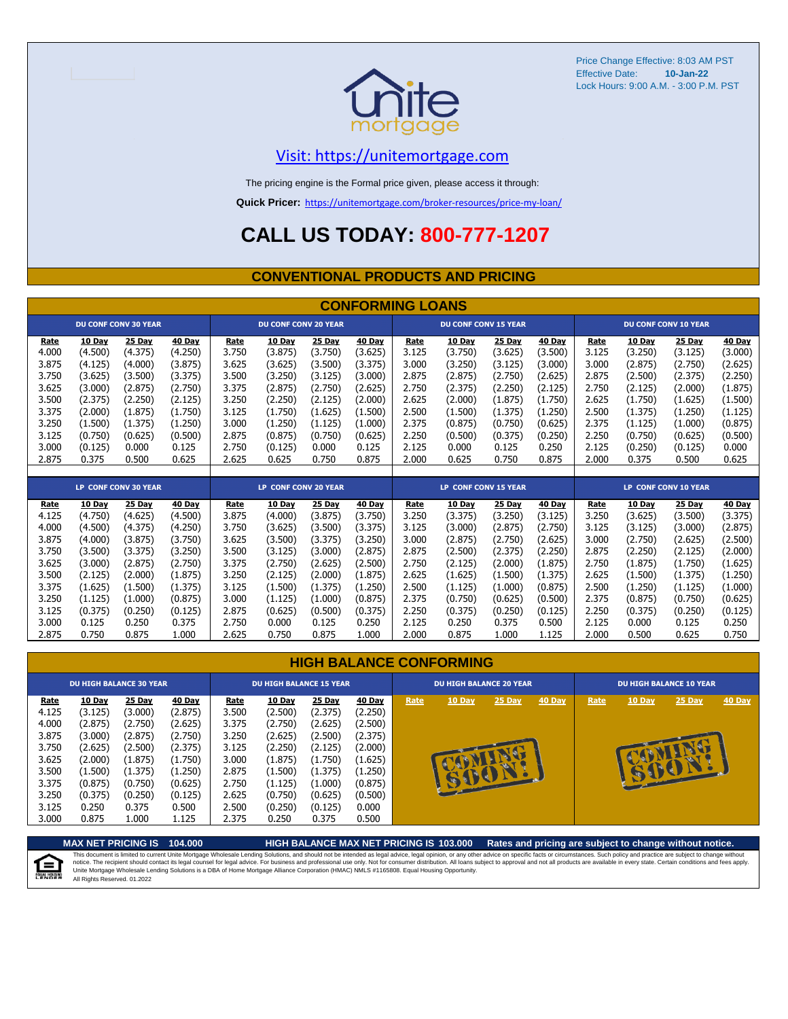

Price Change Effective: 8:03 AM PST Effective Date: Lock Hours: 9:00 A.M. - 3:00 P.M. PST **10-Jan-22**

#### [V](https://unitemortgage.com/)isit: https://unitemortgage.com

The pricing engine is the Formal price given, please access it through:

**Quick Pricer:** [https://un](https://unitemortgage.com/broker-resources/price-my-loan/)itemortgage.com/broker-resources/price-my-loan/

### **CALL US TODAY: 800-777-1207**

#### **CONVENTIONAL PRODUCTS AND PRICING**

|             | <b>CONFORMING LOANS</b> |                             |         |       |                             |               |               |       |                             |               |               |       |               |                             |               |
|-------------|-------------------------|-----------------------------|---------|-------|-----------------------------|---------------|---------------|-------|-----------------------------|---------------|---------------|-------|---------------|-----------------------------|---------------|
|             |                         | <b>DU CONF CONV 30 YEAR</b> |         |       | <b>DU CONF CONV 20 YEAR</b> |               |               |       | <b>DU CONF CONV 15 YEAR</b> |               |               |       |               | <b>DU CONF CONV 10 YEAR</b> |               |
| <b>Rate</b> | <b>10 Day</b>           | 25 Day                      | 40 Day  | Rate  | 10 Day                      | 25 Day        | 40 Day        | Rate  | 10 Day                      | <b>25 Day</b> | 40 Day        | Rate  | <b>10 Day</b> | <b>25 Day</b>               | <b>40 Day</b> |
| 4.000       | (4.500)                 | (4.375)                     | (4.250) | 3.750 | (3.875)                     | (3.750)       | (3.625)       | 3.125 | (3.750)                     | (3.625)       | (3.500)       | 3.125 | (3.250)       | (3.125)                     | (3.000)       |
| 3.875       | (4.125)                 | (4.000)                     | (3.875) | 3.625 | (3.625)                     | (3.500)       | (3.375)       | 3.000 | (3.250)                     | (3.125)       | (3.000)       | 3.000 | (2.875)       | (2.750)                     | (2.625)       |
| 3.750       | (3.625)                 | (3.500)                     | (3.375) | 3.500 | (3.250)                     | (3.125)       | (3.000)       | 2.875 | (2.875)                     | (2.750)       | (2.625)       | 2.875 | (2.500)       | (2.375)                     | (2.250)       |
| 3.625       | (3.000)                 | (2.875)                     | (2.750) | 3.375 | (2.875)                     | (2.750)       | (2.625)       | 2.750 | (2.375)                     | (2.250)       | (2.125)       | 2.750 | (2.125)       | (2.000)                     | (1.875)       |
| 3.500       | (2.375)                 | (2.250)                     | (2.125) | 3.250 | (2.250)                     | (2.125)       | (2.000)       | 2.625 | (2.000)                     | (1.875)       | (1.750)       | 2.625 | (1.750)       | (1.625)                     | (1.500)       |
| 3.375       | (2.000)                 | (1.875)                     | (1.750) | 3.125 | (1.750)                     | (1.625)       | (1.500)       | 2.500 | (1.500)                     | (1.375)       | (1.250)       | 2.500 | (1.375)       | (1.250)                     | (1.125)       |
| 3.250       | (1.500)                 | (1.375)                     | (1.250) | 3.000 | (1.250)                     | (1.125)       | (1.000)       | 2.375 | (0.875)                     | (0.750)       | (0.625)       | 2.375 | (1.125)       | (1.000)                     | (0.875)       |
| 3.125       | (0.750)                 | (0.625)                     | (0.500) | 2.875 | (0.875)                     | (0.750)       | (0.625)       | 2.250 | (0.500)                     | (0.375)       | (0.250)       | 2.250 | (0.750)       | (0.625)                     | (0.500)       |
| 3.000       | (0.125)                 | 0.000                       | 0.125   | 2.750 | (0.125)                     | 0.000         | 0.125         | 2.125 | 0.000                       | 0.125         | 0.250         | 2.125 | (0.250)       | (0.125)                     | 0.000         |
| 2.875       | 0.375                   | 0.500                       | 0.625   | 2.625 | 0.625                       | 0.750         | 0.875         | 2.000 | 0.625                       | 0.750         | 0.875         | 2.000 | 0.375         | 0.500                       | 0.625         |
|             |                         |                             |         |       |                             |               |               |       |                             |               |               |       |               |                             |               |
|             |                         | <b>LP CONF CONV 30 YEAR</b> |         |       | <b>LP CONF CONV 20 YEAR</b> |               |               |       | <b>LP CONF CONV 15 YEAR</b> |               |               |       |               | <b>LP CONF CONV 10 YEAR</b> |               |
| Rate        | <b>10 Day</b>           | 25 Day                      | 40 Day  | Rate  | <b>10 Day</b>               | <b>25 Day</b> | <b>40 Day</b> | Rate  | 10 Day                      | <b>25 Day</b> | <b>40 Day</b> | Rate  | <b>10 Day</b> | <b>25 Day</b>               | <b>40 Day</b> |
| 4.125       | (4.750)                 | (4.625)                     | (4.500) | 3.875 | (4.000)                     | (3.875)       | (3.750)       | 3.250 | (3.375)                     | (3.250)       | (3.125)       | 3.250 | (3.625)       | (3.500)                     | (3.375)       |
| 4.000       | (4.500)                 | (4.375)                     | (4.250) | 3.750 | (3.625)                     | (3.500)       | (3.375)       | 3.125 | (3.000)                     | (2.875)       | (2.750)       | 3.125 | (3.125)       | (3.000)                     | (2.875)       |
| 3.875       | (4.000)                 | (3.875)                     | (3.750) | 3.625 | (3.500)                     | (3.375)       | (3.250)       | 3.000 | (2.875)                     | (2.750)       | (2.625)       | 3.000 | (2.750)       | (2.625)                     | (2.500)       |
| 3.750       | (3.500)                 | (3.375)                     | (3.250) | 3.500 | (3.125)                     | (3.000)       | (2.875)       | 2.875 | (2.500)                     | (2.375)       | (2.250)       | 2.875 | (2.250)       | (2.125)                     | (2.000)       |
| 3.625       | (3.000)                 | (2.875)                     | (2.750) | 3.375 | (2.750)                     | (2.625)       | (2.500)       | 2.750 | (2.125)                     | (2.000)       | (1.875)       | 2.750 | (1.875)       | (1.750)                     | (1.625)       |
| 3.500       | (2.125)                 | (2.000)                     | (1.875) | 3.250 | (2.125)                     | (2.000)       | (1.875)       | 2.625 | (1.625)                     | (1.500)       | (1.375)       | 2.625 | (1.500)       | (1.375)                     | (1.250)       |
| 3.375       | (1.625)                 | (1.500)                     | (1.375) | 3.125 | (1.500)                     | (1.375)       | (1.250)       | 2.500 | (1.125)                     | (1.000)       | (0.875)       | 2.500 | (1.250)       | (1.125)                     | (1.000)       |
| 3.250       | (1.125)                 | (1.000)                     | (0.875) | 3.000 | (1.125)                     | (1.000)       | (0.875)       | 2.375 | (0.750)                     | (0.625)       | (0.500)       | 2.375 | (0.875)       | (0.750)                     | (0.625)       |

#### **HIGH BALANCE CONFORMING**

3.125 (0.375) (0.250) (0.125) 2.875 (0.625) (0.500) (0.375) 2.250 (0.375) (0.250) (0.125) 2.250 (0.375) (0.250) (0.125) 3.000 0.125 0.250 0.375 2.750 0.000 0.125 0.250 2.125 0.250 0.375 0.500 2.125 0.000 0.125 0.250 2.875 0.750 0.875 1.000 2.625 0.750 0.875 1.000 2.000 0.875 1.000 1.125 2.000 0.500 0.625 0.750

|                                                            | <b>DU HIGH BALANCE 30 YEAR</b>                                           |                                                                          |                                                                          | <b>DU HIGH BALANCE 15 YEAR</b>                             |                                                                                 |                                                                          |                                                                          | <b>DU HIGH BALANCE 20 YEAR</b> |               |        |        | DU HIGH BALANCE 10 YEAR |               |          |               |  |  |
|------------------------------------------------------------|--------------------------------------------------------------------------|--------------------------------------------------------------------------|--------------------------------------------------------------------------|------------------------------------------------------------|---------------------------------------------------------------------------------|--------------------------------------------------------------------------|--------------------------------------------------------------------------|--------------------------------|---------------|--------|--------|-------------------------|---------------|----------|---------------|--|--|
| Rate<br>4.125<br>4.000<br>3.875<br>3.750<br>3.625<br>3.500 | 10 Day<br>(3.125)<br>(2.875)<br>(3.000)<br>(2.625)<br>(2.000)<br>(1.500) | 25 Day<br>(3.000)<br>(2.750)<br>(2.875)<br>(2.500)<br>(1.875)<br>(1.375) | 40 Day<br>(2.875)<br>(2.625)<br>(2.750)<br>(2.375)<br>(1.750)<br>(1.250) | Rate<br>3.500<br>3.375<br>3.250<br>3.125<br>3.000<br>2.875 | <b>10 Day</b><br>(2.500)<br>(2.750)<br>(2.625)<br>(2.250)<br>(1.875)<br>(1.500) | 25 Day<br>(2.375)<br>(2.625)<br>(2.500)<br>(2.125)<br>(1.750)<br>(1.375) | 40 Day<br>(2.250)<br>(2.500)<br>(2.375)<br>(2.000)<br>(1.625)<br>(1.250) | Rate                           | <b>10 Day</b> | 25 Day | 40 Day | Rate                    | <b>10 Day</b> | $25$ Day | <b>40 Day</b> |  |  |
| 3.375<br>3.250<br>3.125<br>3.000                           | (0.875)<br>(0.375)<br>0.250<br>0.875                                     | (0.750)<br>(0.250)<br>0.375<br>1.000                                     | (0.625)<br>(0.125)<br>0.500<br>1.125                                     | 2.750<br>2.625<br>2.500<br>2.375                           | (1.125)<br>(0.750)<br>(0.250)<br>0.250                                          | (1.000)<br>(0.625)<br>(0.125)<br>0.375                                   | (0.875)<br>(0.500)<br>0.000<br>0.500                                     |                                |               |        |        |                         |               |          |               |  |  |

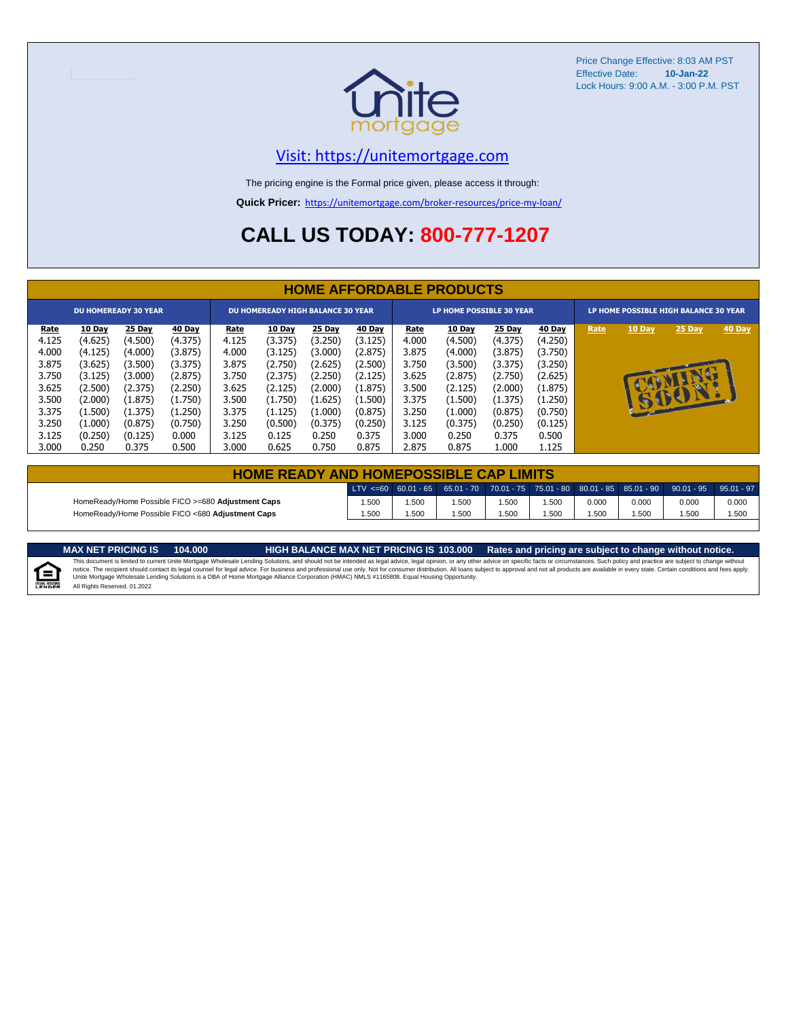

Price Change Effective: 8:03 AM PST Effective Date: **10-Jan-22** Lock Hours: 9:00 A.M. - 3:00 P.M. PST

#### [V](https://unitemortgage.com/)isit: https://unitemortgage.com

The pricing engine is the Formal price given, please access it through:

**Quick Pricer:** [https://un](https://unitemortgage.com/broker-resources/price-my-loan/)itemortgage.com/broker-resources/price-my-loan/

## **CALL US TODAY: 800-777-1207**

|             | <b>HOME AFFORDABLE PRODUCTS</b> |         |         |             |                                          |         |         |       |                                 |         |         |                                       |              |        |        |  |
|-------------|---------------------------------|---------|---------|-------------|------------------------------------------|---------|---------|-------|---------------------------------|---------|---------|---------------------------------------|--------------|--------|--------|--|
|             | <b>DU HOMEREADY 30 YEAR</b>     |         |         |             | <b>DU HOMEREADY HIGH BALANCE 30 YEAR</b> |         |         |       | <b>LP HOME POSSIBLE 30 YEAR</b> |         |         | LP HOME POSSIBLE HIGH BALANCE 30 YEAR |              |        |        |  |
| <u>Rate</u> | 10 Day                          | 25 Day  | 40 Day  | <u>Rate</u> | <b>10 Day</b>                            | 25 Day  | 40 Day  | Rate  | 10 Day                          | 25 Day  | 40 Day  | Rate                                  | 10 Day       | 25 Day | 40 Day |  |
| 4.125       | (4.625)                         | (4.500) | (4.375) | 4.125       | (3.375)                                  | (3.250) | (3.125) | 4.000 | (4.500)                         | (4.375) | (4.250) |                                       |              |        |        |  |
| 4.000       | (4.125)                         | (4.000) | (3.875) | 4.000       | (3.125)                                  | (3.000) | (2.875) | 3.875 | (4.000)                         | (3.875) | (3.750) |                                       |              |        |        |  |
| 3.875       | (3.625)                         | (3.500) | (3.375) | 3.875       | (2.750)                                  | (2.625) | (2.500) | 3.750 | (3.500)                         | (3.375) | (3.250) |                                       |              |        |        |  |
| 3.750       | (3.125)                         | (3.000) | (2.875) | 3.750       | (2.375)                                  | (2.250) | (2.125) | 3.625 | (2.875)                         | (2.750) | (2.625) |                                       |              | D      |        |  |
| 3.625       | (2.500)                         | (2.375) | (2.250) | 3.625       | (2.125)                                  | (2.000) | (1.875) | 3.500 | (2.125)                         | (2.000) | (1.875) |                                       |              |        |        |  |
| 3.500       | (2.000)                         | (1.875) | (1.750) | 3.500       | (1.750)                                  | (1.625) | (1.500) | 3.375 | (1.500)                         | (1.375) | (1.250) |                                       | <b>REGIS</b> | BO     |        |  |
| 3.375       | (1.500)                         | (1.375) | (1.250) | 3.375       | (1.125)                                  | (1.000) | (0.875) | 3.250 | (1.000)                         | (0.875) | (0.750) |                                       |              |        |        |  |
| 3.250       | (1.000)                         | (0.875) | (0.750) | 3.250       | (0.500)                                  | (0.375) | (0.250) | 3.125 | (0.375)                         | (0.250) | (0.125) |                                       |              |        |        |  |
| 3.125       | (0.250)                         | (0.125) | 0.000   | 3.125       | 0.125                                    | 0.250   | 0.375   | 3.000 | 0.250                           | 0.375   | 0.500   |                                       |              |        |        |  |
| 3.000       | 0.250                           | 0.375   | 0.500   | 3.000       | 0.625                                    | 0.750   | 0.875   | 2.875 | 0.875                           | 1.000   | 1.125   |                                       |              |        |        |  |

| <b>HOME READY AND HOMEPOSSIBLE CAP LIMITS</b>      |       |      |      |      |       |       |       |                                                                                                  |       |  |  |  |  |
|----------------------------------------------------|-------|------|------|------|-------|-------|-------|--------------------------------------------------------------------------------------------------|-------|--|--|--|--|
|                                                    |       |      |      |      |       |       |       | LTV <=60 60.01 - 65 65.01 - 70 70.01 - 75 75.01 - 80 80.01 - 85 85.01 - 90 90.01 - 95 95.01 - 97 |       |  |  |  |  |
| HomeReady/Home Possible FICO >=680 Adjustment Caps | .500  | .500 | .500 | .500 | 1.500 | 0.000 | 0.000 | 0.000                                                                                            | 0.000 |  |  |  |  |
| HomeReady/Home Possible FICO <680 Adjustment Caps  | 1.500 | .500 | .500 | .500 | .500  | .500  | .500  | .500                                                                                             | 1.500 |  |  |  |  |

E

MAX NET PRICING IS 103.000 Rates and pricing are subject to change without notice.<br>This document is limited to current Unite Mortgage Wholesale Lending Solutions, and should not be intended as legal advice, legal opinion, All Rights Reserved. 01.2022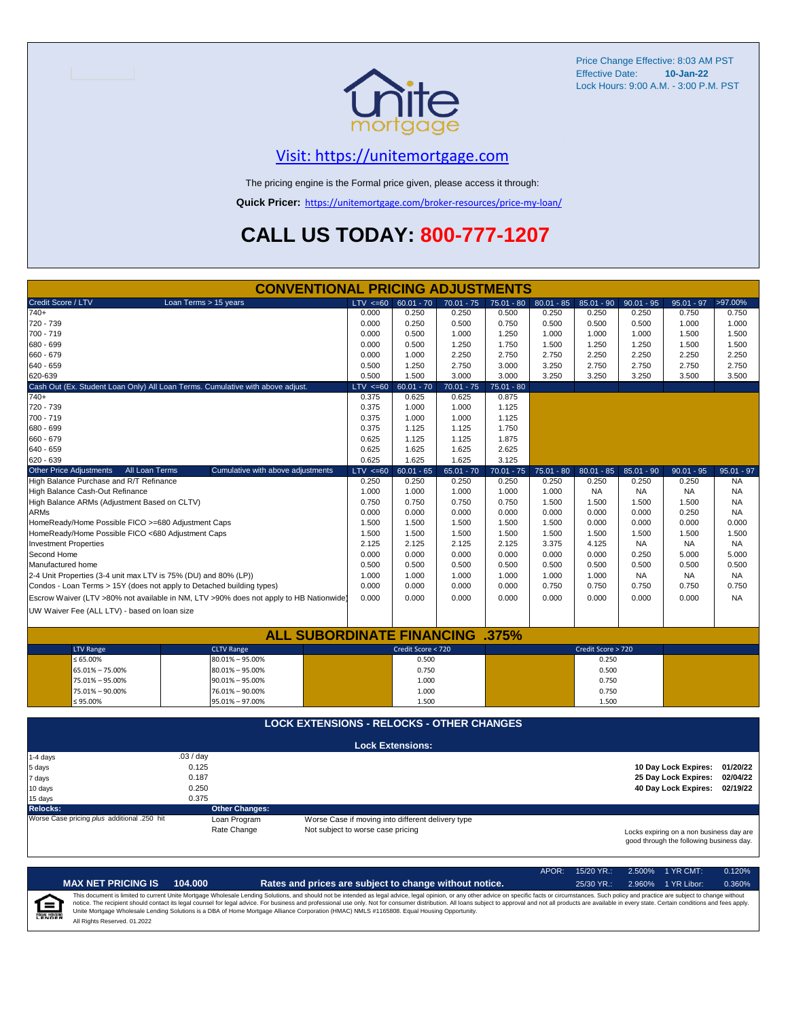

Price Change Effective: 8:03 AM PST Effective Date: **10-Jan-22** Lock Hours: 9:00 A.M. - 3:00 P.M. PST

#### [V](https://unitemortgage.com/)isit: https://unitemortgage.com

The pricing engine is the Formal price given, please access it through:

**Quick Pricer:** [https://un](https://unitemortgage.com/broker-resources/price-my-loan/)itemortgage.com/broker-resources/price-my-loan/

## **CALL US TODAY: 800-777-1207**

| <b>CONVENTIONAL PRICING ADJUSTMENTS</b>                               |                                                                                        |                                                   |                         |              |              |              |                    |              |                                                                                      |              |  |
|-----------------------------------------------------------------------|----------------------------------------------------------------------------------------|---------------------------------------------------|-------------------------|--------------|--------------|--------------|--------------------|--------------|--------------------------------------------------------------------------------------|--------------|--|
| Credit Score / LTV                                                    | Loan Terms > 15 years                                                                  | $LTV \le 60$                                      | $60.01 - 70$            | $70.01 - 75$ | $75.01 - 80$ | $80.01 - 85$ | $85.01 - 90$       | $90.01 - 95$ | $95.01 - 97$                                                                         | >97.00%      |  |
| $740+$                                                                |                                                                                        | 0.000                                             | 0.250                   | 0.250        | 0.500        | 0.250        | 0.250              | 0.250        | 0.750                                                                                | 0.750        |  |
| 720 - 739                                                             |                                                                                        | 0.000                                             | 0.250                   | 0.500        | 0.750        | 0.500        | 0.500              | 0.500        | 1.000                                                                                | 1.000        |  |
| 700 - 719                                                             |                                                                                        | 0.000                                             | 0.500                   | 1.000        | 1.250        | 1.000        | 1.000              | 1.000        | 1.500                                                                                | 1.500        |  |
| 680 - 699                                                             |                                                                                        | 0.000                                             | 0.500                   | 1.250        | 1.750        | 1.500        | 1.250              | 1.250        | 1.500                                                                                | 1.500        |  |
| 660 - 679                                                             |                                                                                        | 0.000                                             | 1.000                   | 2.250        | 2.750        | 2.750        | 2.250              | 2.250        | 2.250                                                                                | 2.250        |  |
| 640 - 659                                                             |                                                                                        | 0.500                                             | 1.250                   | 2.750        | 3.000        | 3.250        | 2.750              | 2.750        | 2.750                                                                                | 2.750        |  |
| 620-639                                                               |                                                                                        | 0.500                                             | 1.500                   | 3.000        | 3.000        | 3.250        | 3.250              | 3.250        | 3.500                                                                                | 3.500        |  |
|                                                                       | Cash Out (Ex. Student Loan Only) All Loan Terms. Cumulative with above adjust.         | $LTV \le 60$                                      | $60.01 - 70$            | $70.01 - 75$ | $75.01 - 80$ |              |                    |              |                                                                                      |              |  |
| $740+$                                                                |                                                                                        | 0.375                                             | 0.625                   | 0.625        | 0.875        |              |                    |              |                                                                                      |              |  |
| 720 - 739                                                             |                                                                                        | 0.375                                             | 1.000                   | 1.000        | 1.125        |              |                    |              |                                                                                      |              |  |
| 700 - 719                                                             |                                                                                        | 0.375                                             | 1.000                   | 1.000        | 1.125        |              |                    |              |                                                                                      |              |  |
| 680 - 699                                                             |                                                                                        | 0.375                                             | 1.125                   | 1.125        | 1.750        |              |                    |              |                                                                                      |              |  |
| 660 - 679                                                             |                                                                                        | 0.625                                             | 1.125                   | 1.125        | 1.875        |              |                    |              |                                                                                      |              |  |
| 640 - 659                                                             |                                                                                        | 0.625                                             | 1.625                   | 1.625        | 2.625        |              |                    |              |                                                                                      |              |  |
| 620 - 639                                                             |                                                                                        | 0.625                                             | 1.625                   | 1.625        | 3.125        |              |                    |              |                                                                                      |              |  |
| <b>Other Price Adjustments</b><br>All Loan Terms                      | Cumulative with above adjustments                                                      | $LTV \le 60$                                      | $60.01 - 65$            | $65.01 - 70$ | $70.01 - 75$ | $75.01 - 80$ | $80.01 - 85$       | $85.01 - 90$ | $90.01 - 95$                                                                         | $95.01 - 97$ |  |
| High Balance Purchase and R/T Refinance                               |                                                                                        | 0.250                                             | 0.250                   | 0.250        | 0.250        | 0.250        | 0.250              | 0.250        | 0.250                                                                                | <b>NA</b>    |  |
| High Balance Cash-Out Refinance                                       |                                                                                        | 1.000                                             | 1.000                   | 1.000        | 1.000        | 1.000        | <b>NA</b>          | <b>NA</b>    | <b>NA</b>                                                                            | <b>NA</b>    |  |
| High Balance ARMs (Adjustment Based on CLTV)                          |                                                                                        | 0.750                                             | 0.750                   | 0.750        | 0.750        | 1.500        | 1.500              | 1.500        | 1.500                                                                                | <b>NA</b>    |  |
| <b>ARMs</b>                                                           |                                                                                        | 0.000                                             | 0.000                   | 0.000        | 0.000        | 0.000        | 0.000              | 0.000        | 0.250                                                                                | <b>NA</b>    |  |
| HomeReady/Home Possible FICO >=680 Adjustment Caps                    |                                                                                        | 1.500                                             | 1.500                   | 1.500        | 1.500        | 1.500        | 0.000              | 0.000        | 0.000                                                                                | 0.000        |  |
| HomeReady/Home Possible FICO <680 Adjustment Caps                     |                                                                                        | 1.500                                             | 1.500                   | 1.500        | 1.500        | 1.500        | 1.500              | 1.500        | 1.500                                                                                | 1.500        |  |
| <b>Investment Properties</b>                                          |                                                                                        | 2.125                                             | 2.125                   | 2.125        | 2.125        | 3.375        | 4.125              | <b>NA</b>    | <b>NA</b>                                                                            | NA.          |  |
| Second Home                                                           |                                                                                        | 0.000                                             | 0.000                   | 0.000        | 0.000        | 0.000        | 0.000              | 0.250        | 5.000                                                                                | 5.000        |  |
| Manufactured home                                                     |                                                                                        | 0.500                                             | 0.500                   | 0.500        | 0.500        | 0.500        | 0.500              | 0.500        | 0.500                                                                                | 0.500        |  |
| 2-4 Unit Properties (3-4 unit max LTV is 75% (DU) and 80% (LP))       |                                                                                        | 1.000                                             | 1.000                   | 1.000        | 1.000        | 1.000        | 1.000              | <b>NA</b>    | <b>NA</b>                                                                            | NA.          |  |
| Condos - Loan Terms > 15Y (does not apply to Detached building types) |                                                                                        | 0.000                                             | 0.000                   | 0.000        | 0.000        | 0.750        | 0.750              | 0.750        | 0.750                                                                                | 0.750        |  |
|                                                                       | Escrow Waiver (LTV >80% not available in NM, LTV >90% does not apply to HB Nationwide) | 0.000                                             | 0.000                   | 0.000        | 0.000        | 0.000        | 0.000              | 0.000        | 0.000                                                                                | <b>NA</b>    |  |
| UW Waiver Fee (ALL LTV) - based on loan size                          |                                                                                        |                                                   |                         |              |              |              |                    |              |                                                                                      |              |  |
|                                                                       |                                                                                        |                                                   |                         |              |              |              |                    |              |                                                                                      |              |  |
|                                                                       | <b>ALL SUBORDINATE FINANCING</b>                                                       |                                                   |                         |              | $.375\%$     |              |                    |              |                                                                                      |              |  |
| <b>LTV Range</b>                                                      | <b>CLTV Range</b>                                                                      |                                                   | Credit Score < 720      |              |              |              | Credit Score > 720 |              |                                                                                      |              |  |
| ≤ 65.00%                                                              | $80.01\% - 95.00\%$                                                                    |                                                   | 0.500                   |              |              |              | 0.250              |              |                                                                                      |              |  |
| 65.01% - 75.00%                                                       | $80.01\% - 95.00\%$                                                                    |                                                   | 0.750                   |              |              |              | 0.500              |              |                                                                                      |              |  |
| 75.01% - 95.00%                                                       | $90.01\% - 95.00\%$                                                                    |                                                   | 1.000                   |              |              |              | 0.750              |              |                                                                                      |              |  |
| 75.01% - 90.00%                                                       | 76.01% - 90.00%                                                                        |                                                   | 1.000                   |              |              |              | 0.750              |              |                                                                                      |              |  |
| $$95.00\%$                                                            | 95.01% - 97.00%                                                                        |                                                   | 1.500                   |              |              |              | 1.500              |              |                                                                                      |              |  |
|                                                                       |                                                                                        |                                                   |                         |              |              |              |                    |              |                                                                                      |              |  |
|                                                                       | <b>LOCK EXTENSIONS - RELOCKS - OTHER CHANGES</b>                                       |                                                   |                         |              |              |              |                    |              |                                                                                      |              |  |
|                                                                       |                                                                                        |                                                   | <b>Lock Extensions:</b> |              |              |              |                    |              |                                                                                      |              |  |
| 1-4 days                                                              | .03/day                                                                                |                                                   |                         |              |              |              |                    |              |                                                                                      |              |  |
| 5 days                                                                | 0.125                                                                                  |                                                   |                         |              |              |              |                    |              | 10 Day Lock Expires:                                                                 | 01/20/22     |  |
| 7 days                                                                | 0.187                                                                                  |                                                   |                         |              |              |              |                    |              | 25 Day Lock Expires:                                                                 | 02/04/22     |  |
| 10 days                                                               | 0.250                                                                                  |                                                   |                         |              |              |              |                    |              | 40 Day Lock Expires:                                                                 | 02/19/22     |  |
| 15 days                                                               | 0.375                                                                                  |                                                   |                         |              |              |              |                    |              |                                                                                      |              |  |
| <b>Relocks:</b>                                                       | <b>Other Changes:</b>                                                                  |                                                   |                         |              |              |              |                    |              |                                                                                      |              |  |
| Worse Case pricing plus additional .250 hit                           | Loan Program                                                                           | Worse Case if moving into different delivery type |                         |              |              |              |                    |              |                                                                                      |              |  |
|                                                                       | Rate Change                                                                            | Not subject to worse case pricing                 |                         |              |              |              |                    |              | Locks expiring on a non business day are<br>good through the following business day. |              |  |

|                            |                              |         |                                                                                                                                                                                                                                                                                                                                                                                                                                                                                                                                                                                                                | APOR: | $15/20$ YR.: | 2.500% 1 YR CMT:   | 0.120% |
|----------------------------|------------------------------|---------|----------------------------------------------------------------------------------------------------------------------------------------------------------------------------------------------------------------------------------------------------------------------------------------------------------------------------------------------------------------------------------------------------------------------------------------------------------------------------------------------------------------------------------------------------------------------------------------------------------------|-------|--------------|--------------------|--------|
|                            | <b>MAX NET PRICING IS</b>    | 104.000 | Rates and prices are subject to change without notice.                                                                                                                                                                                                                                                                                                                                                                                                                                                                                                                                                         |       | $25/30$ YR.: | 2.960% 1 YR Libor: | 0.360% |
| ſ≘<br><b>EQUAL HOUSING</b> | All Rights Reserved, 01.2022 |         | This document is limited to current Unite Mortgage Wholesale Lending Solutions, and should not be intended as legal advice, legal opinion, or any other advice on specific facts or circumstances. Such policy and practice ar<br>notice. The recipient should contact its legal counsel for legal advice. For business and professional use only. Not for consumer distribution. All loans subject to approval and not all products are available in every stat<br>Unite Mortgage Wholesale Lending Solutions is a DBA of Home Mortgage Alliance Corporation (HMAC) NMLS #1165808. Equal Housing Opportunity. |       |              |                    |        |